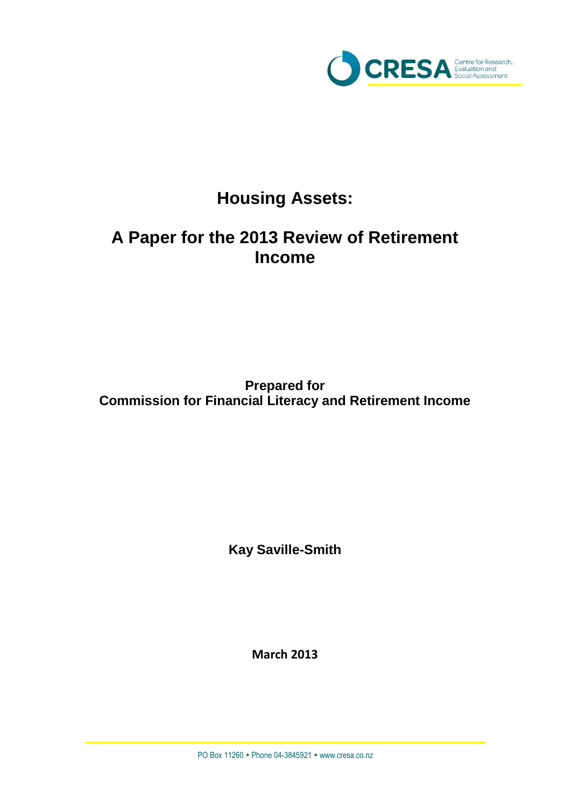

# **Housing Assets:**

# **A Paper for the 2013 Review of Retirement Income**

**Prepared for Commission for Financial Literacy and Retirement Income**

**Kay Saville-Smith**

**March 2013**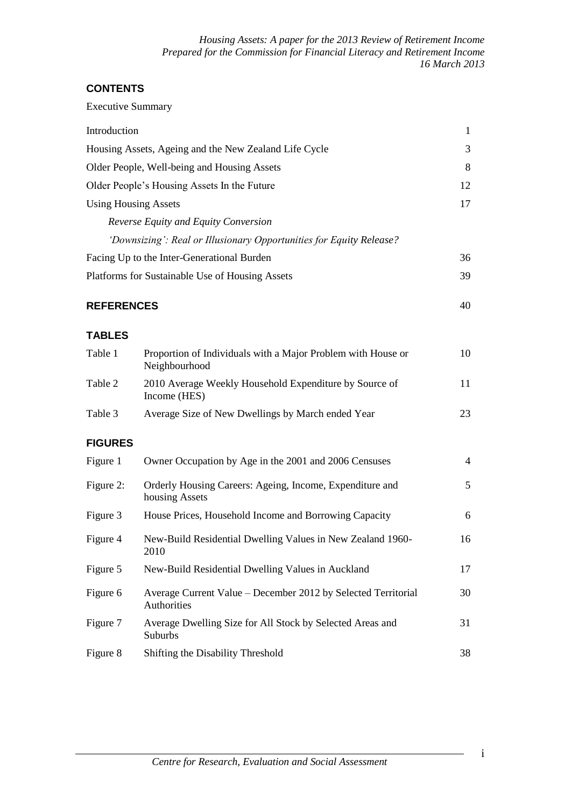*Housing Assets: A paper for the 2013 Review of Retirement Income Prepared for the Commission for Financial Literacy and Retirement Income 16 March 2013*

# **CONTENTS**

Executive Summary

| Introduction      |                                                                               | $\mathbf{1}$   |
|-------------------|-------------------------------------------------------------------------------|----------------|
|                   | Housing Assets, Ageing and the New Zealand Life Cycle                         | 3              |
|                   | Older People, Well-being and Housing Assets                                   | 8              |
|                   | Older People's Housing Assets In the Future                                   | 12             |
|                   | <b>Using Housing Assets</b>                                                   | 17             |
|                   | Reverse Equity and Equity Conversion                                          |                |
|                   | 'Downsizing': Real or Illusionary Opportunities for Equity Release?           |                |
|                   | Facing Up to the Inter-Generational Burden                                    | 36             |
|                   | Platforms for Sustainable Use of Housing Assets                               | 39             |
| <b>REFERENCES</b> |                                                                               | 40             |
| <b>TABLES</b>     |                                                                               |                |
| Table 1           | Proportion of Individuals with a Major Problem with House or<br>Neighbourhood | 10             |
| Table 2           | 2010 Average Weekly Household Expenditure by Source of<br>Income (HES)        | 11             |
| Table 3           | Average Size of New Dwellings by March ended Year                             | 23             |
| <b>FIGURES</b>    |                                                                               |                |
| Figure 1          | Owner Occupation by Age in the 2001 and 2006 Censuses                         | $\overline{4}$ |
| Figure 2:         | Orderly Housing Careers: Ageing, Income, Expenditure and<br>housing Assets    | 5              |
| Figure 3          | House Prices, Household Income and Borrowing Capacity                         | 6              |
| Figure 4          | New-Build Residential Dwelling Values in New Zealand 1960-<br>2010            | 16             |
| Figure 5          | New-Build Residential Dwelling Values in Auckland                             | 17             |
| Figure 6          | Average Current Value - December 2012 by Selected Territorial<br>Authorities  | 30             |
| Figure 7          | Average Dwelling Size for All Stock by Selected Areas and<br>Suburbs          | 31             |
| Figure 8          | Shifting the Disability Threshold                                             | 38             |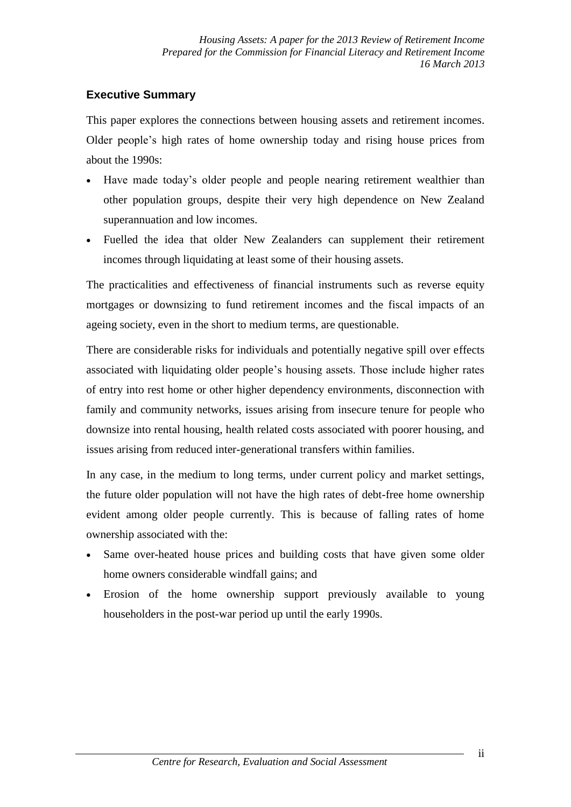# **Executive Summary**

This paper explores the connections between housing assets and retirement incomes. Older people's high rates of home ownership today and rising house prices from about the 1990s:

- Have made today's older people and people nearing retirement wealthier than other population groups, despite their very high dependence on New Zealand superannuation and low incomes.
- Fuelled the idea that older New Zealanders can supplement their retirement incomes through liquidating at least some of their housing assets.

The practicalities and effectiveness of financial instruments such as reverse equity mortgages or downsizing to fund retirement incomes and the fiscal impacts of an ageing society, even in the short to medium terms, are questionable.

There are considerable risks for individuals and potentially negative spill over effects associated with liquidating older people's housing assets. Those include higher rates of entry into rest home or other higher dependency environments, disconnection with family and community networks, issues arising from insecure tenure for people who downsize into rental housing, health related costs associated with poorer housing, and issues arising from reduced inter-generational transfers within families.

In any case, in the medium to long terms, under current policy and market settings, the future older population will not have the high rates of debt-free home ownership evident among older people currently. This is because of falling rates of home ownership associated with the:

- Same over-heated house prices and building costs that have given some older home owners considerable windfall gains; and
- Erosion of the home ownership support previously available to young householders in the post-war period up until the early 1990s.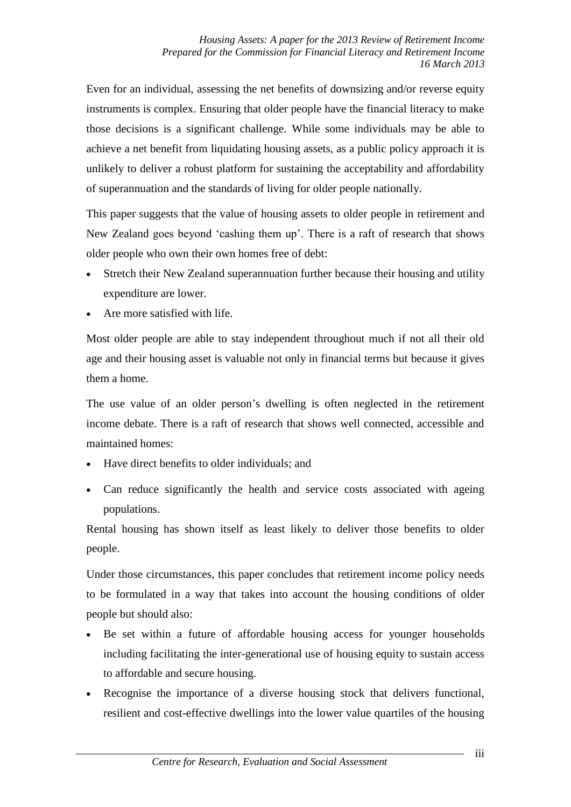Even for an individual, assessing the net benefits of downsizing and/or reverse equity instruments is complex. Ensuring that older people have the financial literacy to make those decisions is a significant challenge. While some individuals may be able to achieve a net benefit from liquidating housing assets, as a public policy approach it is unlikely to deliver a robust platform for sustaining the acceptability and affordability of superannuation and the standards of living for older people nationally.

This paper suggests that the value of housing assets to older people in retirement and New Zealand goes beyond 'cashing them up'. There is a raft of research that shows older people who own their own homes free of debt:

- Stretch their New Zealand superannuation further because their housing and utility expenditure are lower.
- Are more satisfied with life.

Most older people are able to stay independent throughout much if not all their old age and their housing asset is valuable not only in financial terms but because it gives them a home.

The use value of an older person's dwelling is often neglected in the retirement income debate. There is a raft of research that shows well connected, accessible and maintained homes:

- Have direct benefits to older individuals; and
- Can reduce significantly the health and service costs associated with ageing populations.

Rental housing has shown itself as least likely to deliver those benefits to older people.

Under those circumstances, this paper concludes that retirement income policy needs to be formulated in a way that takes into account the housing conditions of older people but should also:

- Be set within a future of affordable housing access for younger households including facilitating the inter-generational use of housing equity to sustain access to affordable and secure housing.
- Recognise the importance of a diverse housing stock that delivers functional, resilient and cost-effective dwellings into the lower value quartiles of the housing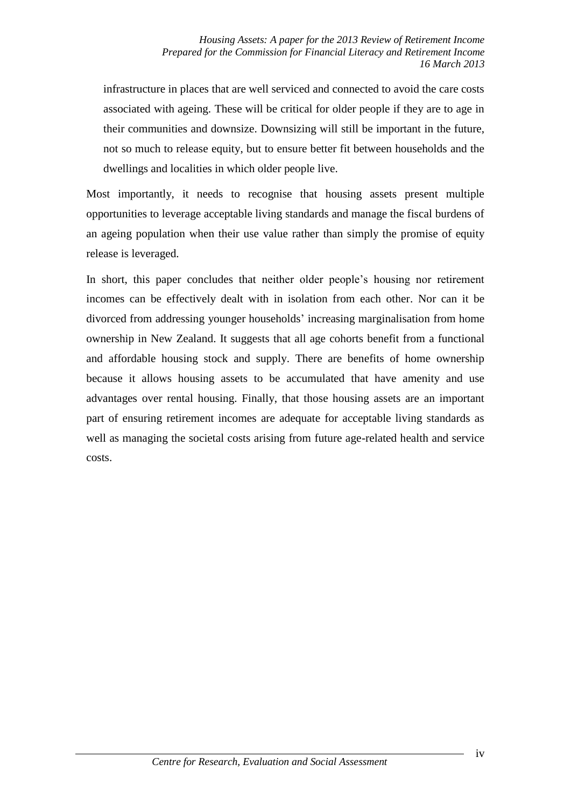infrastructure in places that are well serviced and connected to avoid the care costs associated with ageing. These will be critical for older people if they are to age in their communities and downsize. Downsizing will still be important in the future, not so much to release equity, but to ensure better fit between households and the dwellings and localities in which older people live.

Most importantly, it needs to recognise that housing assets present multiple opportunities to leverage acceptable living standards and manage the fiscal burdens of an ageing population when their use value rather than simply the promise of equity release is leveraged.

In short, this paper concludes that neither older people's housing nor retirement incomes can be effectively dealt with in isolation from each other. Nor can it be divorced from addressing younger households' increasing marginalisation from home ownership in New Zealand. It suggests that all age cohorts benefit from a functional and affordable housing stock and supply. There are benefits of home ownership because it allows housing assets to be accumulated that have amenity and use advantages over rental housing. Finally, that those housing assets are an important part of ensuring retirement incomes are adequate for acceptable living standards as well as managing the societal costs arising from future age-related health and service costs.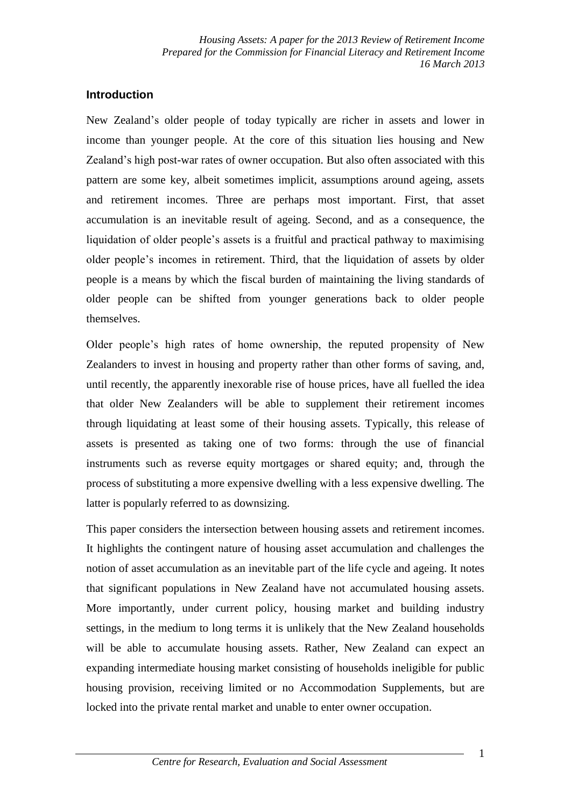*Housing Assets: A paper for the 2013 Review of Retirement Income Prepared for the Commission for Financial Literacy and Retirement Income 16 March 2013*

#### **Introduction**

New Zealand's older people of today typically are richer in assets and lower in income than younger people. At the core of this situation lies housing and New Zealand's high post-war rates of owner occupation. But also often associated with this pattern are some key, albeit sometimes implicit, assumptions around ageing, assets and retirement incomes. Three are perhaps most important. First, that asset accumulation is an inevitable result of ageing. Second, and as a consequence, the liquidation of older people's assets is a fruitful and practical pathway to maximising older people's incomes in retirement. Third, that the liquidation of assets by older people is a means by which the fiscal burden of maintaining the living standards of older people can be shifted from younger generations back to older people themselves.

Older people's high rates of home ownership, the reputed propensity of New Zealanders to invest in housing and property rather than other forms of saving, and, until recently, the apparently inexorable rise of house prices, have all fuelled the idea that older New Zealanders will be able to supplement their retirement incomes through liquidating at least some of their housing assets. Typically, this release of assets is presented as taking one of two forms: through the use of financial instruments such as reverse equity mortgages or shared equity; and, through the process of substituting a more expensive dwelling with a less expensive dwelling. The latter is popularly referred to as downsizing.

This paper considers the intersection between housing assets and retirement incomes. It highlights the contingent nature of housing asset accumulation and challenges the notion of asset accumulation as an inevitable part of the life cycle and ageing. It notes that significant populations in New Zealand have not accumulated housing assets. More importantly, under current policy, housing market and building industry settings, in the medium to long terms it is unlikely that the New Zealand households will be able to accumulate housing assets. Rather, New Zealand can expect an expanding intermediate housing market consisting of households ineligible for public housing provision, receiving limited or no Accommodation Supplements, but are locked into the private rental market and unable to enter owner occupation.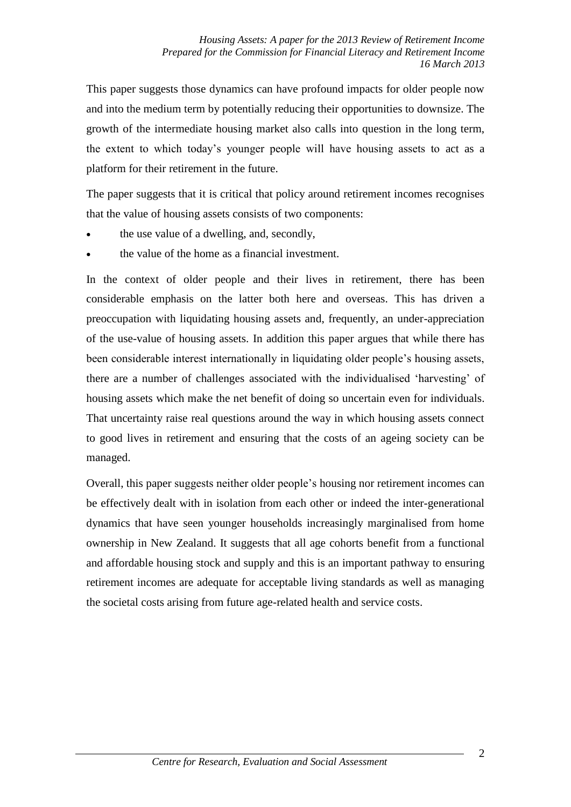This paper suggests those dynamics can have profound impacts for older people now and into the medium term by potentially reducing their opportunities to downsize. The growth of the intermediate housing market also calls into question in the long term, the extent to which today's younger people will have housing assets to act as a platform for their retirement in the future.

The paper suggests that it is critical that policy around retirement incomes recognises that the value of housing assets consists of two components:

- the use value of a dwelling, and, secondly,
- the value of the home as a financial investment.

In the context of older people and their lives in retirement, there has been considerable emphasis on the latter both here and overseas. This has driven a preoccupation with liquidating housing assets and, frequently, an under-appreciation of the use-value of housing assets. In addition this paper argues that while there has been considerable interest internationally in liquidating older people's housing assets, there are a number of challenges associated with the individualised 'harvesting' of housing assets which make the net benefit of doing so uncertain even for individuals. That uncertainty raise real questions around the way in which housing assets connect to good lives in retirement and ensuring that the costs of an ageing society can be managed.

Overall, this paper suggests neither older people's housing nor retirement incomes can be effectively dealt with in isolation from each other or indeed the inter-generational dynamics that have seen younger households increasingly marginalised from home ownership in New Zealand. It suggests that all age cohorts benefit from a functional and affordable housing stock and supply and this is an important pathway to ensuring retirement incomes are adequate for acceptable living standards as well as managing the societal costs arising from future age-related health and service costs.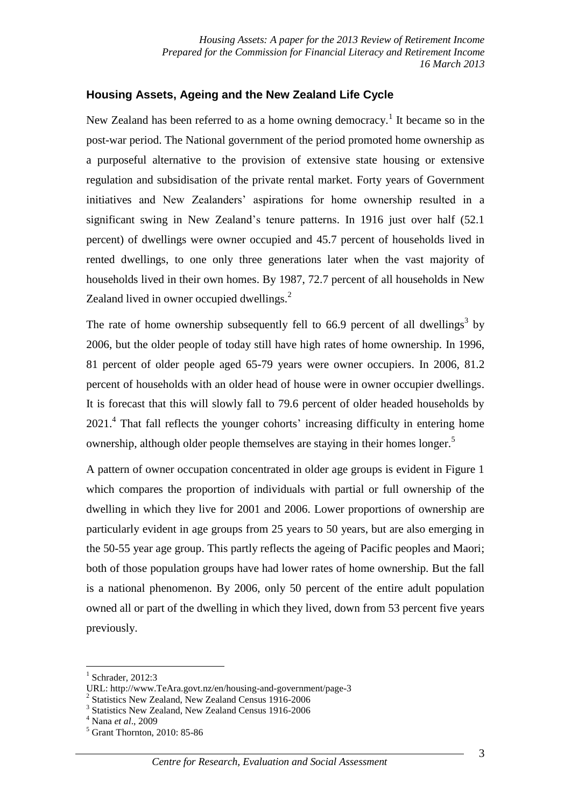## **Housing Assets, Ageing and the New Zealand Life Cycle**

New Zealand has been referred to as a home owning democracy.<sup>1</sup> It became so in the post-war period. The National government of the period promoted home ownership as a purposeful alternative to the provision of extensive state housing or extensive regulation and subsidisation of the private rental market. Forty years of Government initiatives and New Zealanders' aspirations for home ownership resulted in a significant swing in New Zealand's tenure patterns. In 1916 just over half (52.1 percent) of dwellings were owner occupied and 45.7 percent of households lived in rented dwellings, to one only three generations later when the vast majority of households lived in their own homes. By 1987, 72.7 percent of all households in New Zealand lived in owner occupied dwellings.<sup>2</sup>

The rate of home ownership subsequently fell to 66.9 percent of all dwellings<sup>3</sup> by 2006, but the older people of today still have high rates of home ownership. In 1996, 81 percent of older people aged 65-79 years were owner occupiers. In 2006, 81.2 percent of households with an older head of house were in owner occupier dwellings. It is forecast that this will slowly fall to 79.6 percent of older headed households by 2021.<sup>4</sup> That fall reflects the younger cohorts' increasing difficulty in entering home ownership, although older people themselves are staying in their homes longer.<sup>5</sup>

A pattern of owner occupation concentrated in older age groups is evident in Figure 1 which compares the proportion of individuals with partial or full ownership of the dwelling in which they live for 2001 and 2006. Lower proportions of ownership are particularly evident in age groups from 25 years to 50 years, but are also emerging in the 50-55 year age group. This partly reflects the ageing of Pacific peoples and Maori; both of those population groups have had lower rates of home ownership. But the fall is a national phenomenon. By 2006, only 50 percent of the entire adult population owned all or part of the dwelling in which they lived, down from 53 percent five years previously.

<sup>1</sup> Schrader, 2012:3

URL: http://www.TeAra.govt.nz/en/housing-and-government/page-3

<sup>&</sup>lt;sup>2</sup> Statistics New Zealand, New Zealand Census 1916-2006

<sup>&</sup>lt;sup>3</sup> Statistics New Zealand, New Zealand Census 1916-2006

<sup>4</sup> Nana *et al*., 2009

 $<sup>5</sup>$  Grant Thornton, 2010: 85-86</sup>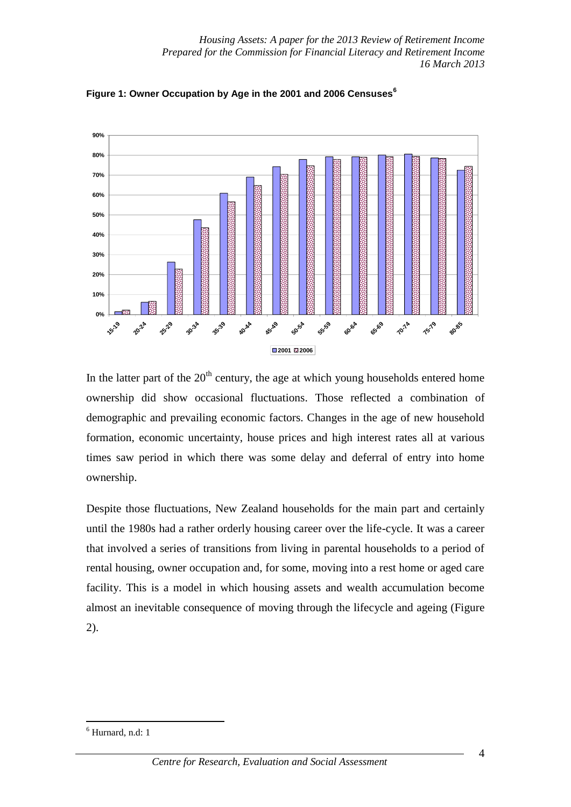

**Figure 1: Owner Occupation by Age in the 2001 and 2006 Censuses<sup>6</sup>**

In the latter part of the  $20<sup>th</sup>$  century, the age at which young households entered home ownership did show occasional fluctuations. Those reflected a combination of demographic and prevailing economic factors. Changes in the age of new household formation, economic uncertainty, house prices and high interest rates all at various times saw period in which there was some delay and deferral of entry into home ownership.

Despite those fluctuations, New Zealand households for the main part and certainly until the 1980s had a rather orderly housing career over the life-cycle. It was a career that involved a series of transitions from living in parental households to a period of rental housing, owner occupation and, for some, moving into a rest home or aged care facility. This is a model in which housing assets and wealth accumulation become almost an inevitable consequence of moving through the lifecycle and ageing (Figure 2).

 $6$  Hurnard, n.d: 1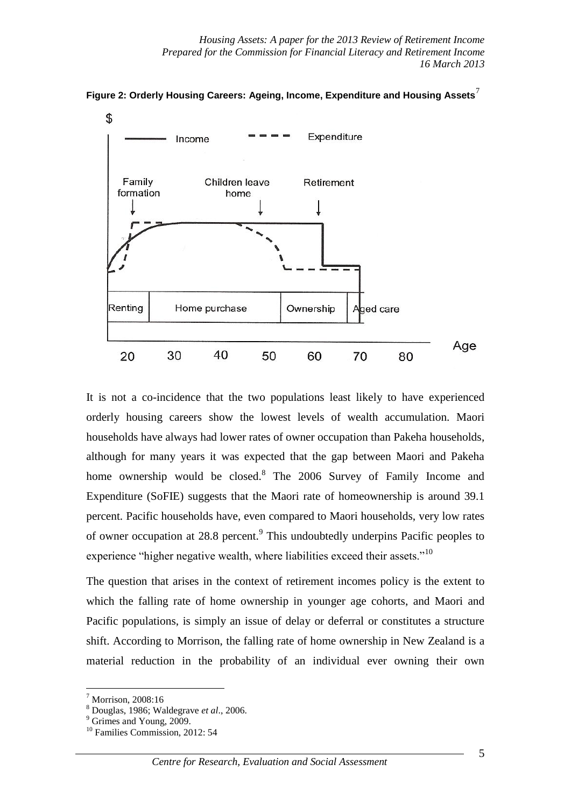



It is not a co-incidence that the two populations least likely to have experienced orderly housing careers show the lowest levels of wealth accumulation. Maori households have always had lower rates of owner occupation than Pakeha households, although for many years it was expected that the gap between Maori and Pakeha home ownership would be closed.<sup>8</sup> The 2006 Survey of Family Income and Expenditure (SoFIE) suggests that the Maori rate of homeownership is around 39.1 percent. Pacific households have, even compared to Maori households, very low rates of owner occupation at 28.8 percent.<sup>9</sup> This undoubtedly underpins Pacific peoples to experience "higher negative wealth, where liabilities exceed their assets."<sup>10</sup>

The question that arises in the context of retirement incomes policy is the extent to which the falling rate of home ownership in younger age cohorts, and Maori and Pacific populations, is simply an issue of delay or deferral or constitutes a structure shift. According to Morrison, the falling rate of home ownership in New Zealand is a material reduction in the probability of an individual ever owning their own

 $<sup>7</sup>$  Morrison, 2008:16</sup>

<sup>8</sup> Douglas, 1986; Waldegrave *et al*., 2006.

<sup>&</sup>lt;sup>9</sup> Grimes and Young, 2009.

<sup>&</sup>lt;sup>10</sup> Families Commission, 2012: 54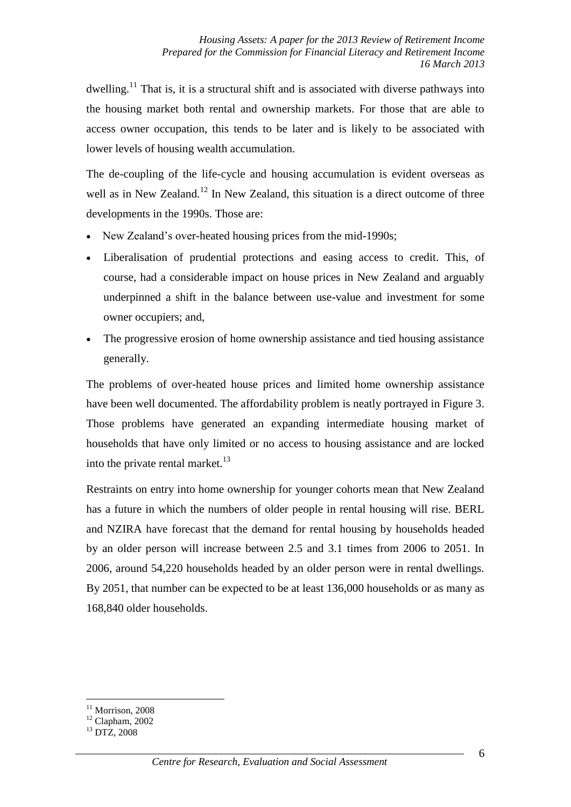dwelling.<sup>11</sup> That is, it is a structural shift and is associated with diverse pathways into the housing market both rental and ownership markets. For those that are able to access owner occupation, this tends to be later and is likely to be associated with lower levels of housing wealth accumulation.

The de-coupling of the life-cycle and housing accumulation is evident overseas as well as in New Zealand.<sup>12</sup> In New Zealand, this situation is a direct outcome of three developments in the 1990s. Those are:

- New Zealand's over-heated housing prices from the mid-1990s;
- Liberalisation of prudential protections and easing access to credit. This, of course, had a considerable impact on house prices in New Zealand and arguably underpinned a shift in the balance between use-value and investment for some owner occupiers; and,
- The progressive erosion of home ownership assistance and tied housing assistance generally.

The problems of over-heated house prices and limited home ownership assistance have been well documented. The affordability problem is neatly portrayed in Figure 3. Those problems have generated an expanding intermediate housing market of households that have only limited or no access to housing assistance and are locked into the private rental market. $^{13}$ 

Restraints on entry into home ownership for younger cohorts mean that New Zealand has a future in which the numbers of older people in rental housing will rise. BERL and NZIRA have forecast that the demand for rental housing by households headed by an older person will increase between 2.5 and 3.1 times from 2006 to 2051. In 2006, around 54,220 households headed by an older person were in rental dwellings. By 2051, that number can be expected to be at least 136,000 households or as many as 168,840 older households.

 $11$  Morrison, 2008

<u>.</u>

 $12$  Clapham, 2002

<sup>13</sup> DTZ, 2008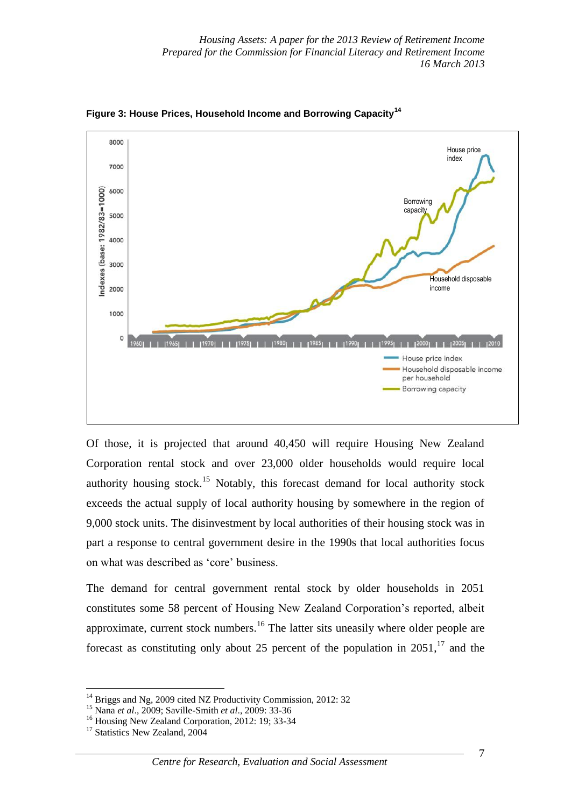

**Figure 3: House Prices, Household Income and Borrowing Capacity<sup>14</sup>**

Of those, it is projected that around 40,450 will require Housing New Zealand Corporation rental stock and over 23,000 older households would require local authority housing stock.<sup>15</sup> Notably, this forecast demand for local authority stock exceeds the actual supply of local authority housing by somewhere in the region of 9,000 stock units. The disinvestment by local authorities of their housing stock was in part a response to central government desire in the 1990s that local authorities focus on what was described as 'core' business.

The demand for central government rental stock by older households in 2051 constitutes some 58 percent of Housing New Zealand Corporation's reported, albeit approximate, current stock numbers.<sup>16</sup> The latter sits uneasily where older people are forecast as constituting only about 25 percent of the population in  $2051$ ,<sup>17</sup> and the

<sup>&</sup>lt;sup>14</sup> Briggs and Ng, 2009 cited NZ Productivity Commission, 2012: 32

<sup>15</sup> Nana *et al*., 2009; Saville-Smith *et al*., 2009: 33-36

<sup>&</sup>lt;sup>16</sup> Housing New Zealand Corporation, 2012: 19; 33-34

<sup>&</sup>lt;sup>17</sup> Statistics New Zealand, 2004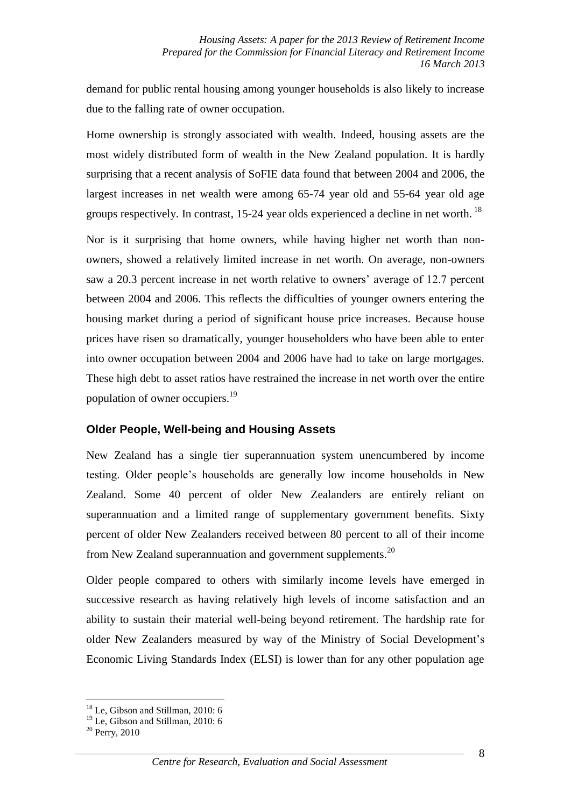demand for public rental housing among younger households is also likely to increase due to the falling rate of owner occupation.

Home ownership is strongly associated with wealth. Indeed, housing assets are the most widely distributed form of wealth in the New Zealand population. It is hardly surprising that a recent analysis of SoFIE data found that between 2004 and 2006, the largest increases in net wealth were among 65-74 year old and 55-64 year old age groups respectively. In contrast, 15-24 year olds experienced a decline in net worth.<sup>18</sup>

Nor is it surprising that home owners, while having higher net worth than nonowners, showed a relatively limited increase in net worth. On average, non-owners saw a 20.3 percent increase in net worth relative to owners' average of 12.7 percent between 2004 and 2006. This reflects the difficulties of younger owners entering the housing market during a period of significant house price increases. Because house prices have risen so dramatically, younger householders who have been able to enter into owner occupation between 2004 and 2006 have had to take on large mortgages. These high debt to asset ratios have restrained the increase in net worth over the entire population of owner occupiers.<sup>19</sup>

#### **Older People, Well-being and Housing Assets**

New Zealand has a single tier superannuation system unencumbered by income testing. Older people's households are generally low income households in New Zealand. Some 40 percent of older New Zealanders are entirely reliant on superannuation and a limited range of supplementary government benefits. Sixty percent of older New Zealanders received between 80 percent to all of their income from New Zealand superannuation and government supplements.<sup>20</sup>

Older people compared to others with similarly income levels have emerged in successive research as having relatively high levels of income satisfaction and an ability to sustain their material well-being beyond retirement. The hardship rate for older New Zealanders measured by way of the Ministry of Social Development's Economic Living Standards Index (ELSI) is lower than for any other population age

<u>.</u>

<sup>&</sup>lt;sup>18</sup> Le. Gibson and Stillman, 2010: 6

<sup>&</sup>lt;sup>19</sup> Le, Gibson and Stillman, 2010: 6

 $20$  Perry, 2010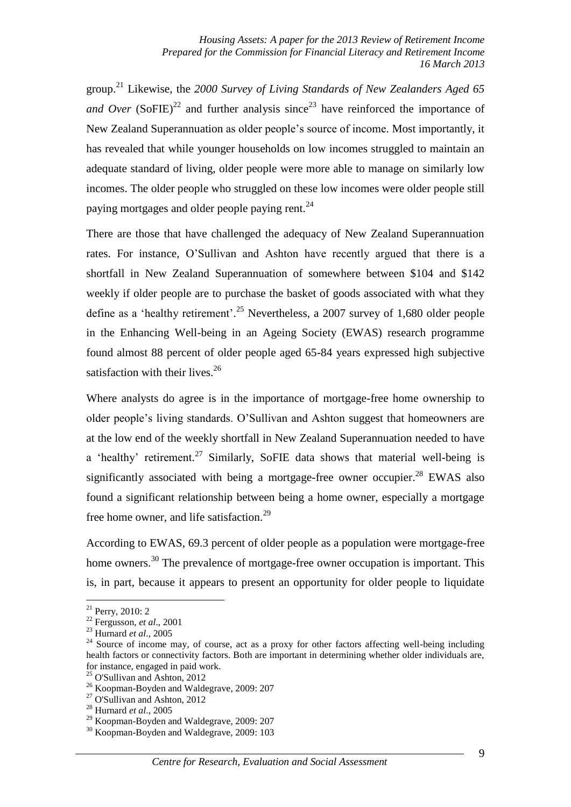group. <sup>21</sup> Likewise, the *2000 Survey of Living Standards of New Zealanders Aged 65 and Over* (SoFIE)<sup>22</sup> and further analysis since<sup>23</sup> have reinforced the importance of New Zealand Superannuation as older people's source of income. Most importantly, it has revealed that while younger households on low incomes struggled to maintain an adequate standard of living, older people were more able to manage on similarly low incomes. The older people who struggled on these low incomes were older people still paying mortgages and older people paying rent.<sup>24</sup>

There are those that have challenged the adequacy of New Zealand Superannuation rates. For instance, O'Sullivan and Ashton have recently argued that there is a shortfall in New Zealand Superannuation of somewhere between \$104 and \$142 weekly if older people are to purchase the basket of goods associated with what they define as a 'healthy retirement'. <sup>25</sup> Nevertheless, a 2007 survey of 1,680 older people in the Enhancing Well-being in an Ageing Society (EWAS) research programme found almost 88 percent of older people aged 65-84 years expressed high subjective satisfaction with their lives. $26$ 

Where analysts do agree is in the importance of mortgage-free home ownership to older people's living standards. O'Sullivan and Ashton suggest that homeowners are at the low end of the weekly shortfall in New Zealand Superannuation needed to have a 'healthy' retirement.<sup>27</sup> Similarly, SoFIE data shows that material well-being is significantly associated with being a mortgage-free owner occupier.<sup>28</sup> EWAS also found a significant relationship between being a home owner, especially a mortgage free home owner, and life satisfaction.<sup>29</sup>

According to EWAS, 69.3 percent of older people as a population were mortgage-free home owners.<sup>30</sup> The prevalence of mortgage-free owner occupation is important. This is, in part, because it appears to present an opportunity for older people to liquidate

<u>.</u>

 $21$  Perry, 2010: 2

<sup>22</sup> Fergusson, *et al*., 2001

<sup>23</sup> Hurnard *et al*., 2005

 $24$  Source of income may, of course, act as a proxy for other factors affecting well-being including health factors or connectivity factors. Both are important in determining whether older individuals are, for instance, engaged in paid work.

<sup>25</sup> O'Sullivan and Ashton, 2012

<sup>26</sup> Koopman-Boyden and Waldegrave, 2009: 207

 $27$  O'Sullivan and Ashton, 2012

<sup>28</sup> Hurnard *et al*., 2005

<sup>&</sup>lt;sup>29</sup> Koopman-Boyden and Waldegrave, 2009: 207

<sup>&</sup>lt;sup>30</sup> Koopman-Boyden and Waldegrave, 2009: 103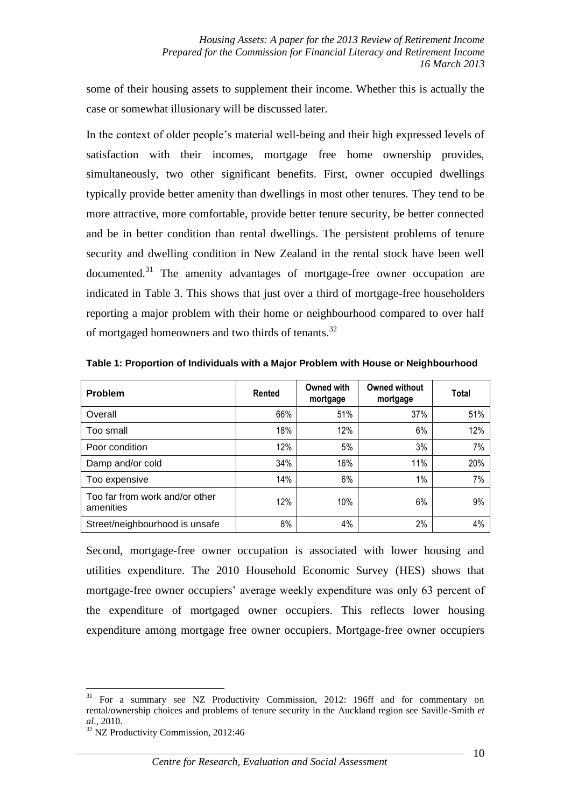some of their housing assets to supplement their income. Whether this is actually the case or somewhat illusionary will be discussed later.

In the context of older people's material well-being and their high expressed levels of satisfaction with their incomes, mortgage free home ownership provides, simultaneously, two other significant benefits. First, owner occupied dwellings typically provide better amenity than dwellings in most other tenures. They tend to be more attractive, more comfortable, provide better tenure security, be better connected and be in better condition than rental dwellings. The persistent problems of tenure security and dwelling condition in New Zealand in the rental stock have been well  $\alpha$  documented.<sup>31</sup> The amenity advantages of mortgage-free owner occupation are indicated in Table 3. This shows that just over a third of mortgage-free householders reporting a major problem with their home or neighbourhood compared to over half of mortgaged homeowners and two thirds of tenants.<sup>32</sup>

| <b>Problem</b>                              | Rented | Owned with<br>mortgage | Owned without<br>mortgage | Total |
|---------------------------------------------|--------|------------------------|---------------------------|-------|
| Overall                                     | 66%    | 51%                    | 37%                       | 51%   |
| Too small                                   | 18%    | 12%                    | 6%                        | 12%   |
| Poor condition                              | 12%    | 5%                     | 3%                        | 7%    |
| Damp and/or cold                            | 34%    | 16%                    | 11%                       | 20%   |
| Too expensive                               | 14%    | 6%                     | 1%                        | 7%    |
| Too far from work and/or other<br>amenities | 12%    | 10%                    | 6%                        | 9%    |
| Street/neighbourhood is unsafe              | 8%     | 4%                     | 2%                        | 4%    |

**Table 1: Proportion of Individuals with a Major Problem with House or Neighbourhood**

Second, mortgage-free owner occupation is associated with lower housing and utilities expenditure. The 2010 Household Economic Survey (HES) shows that mortgage-free owner occupiers' average weekly expenditure was only 63 percent of the expenditure of mortgaged owner occupiers. This reflects lower housing expenditure among mortgage free owner occupiers. Mortgage-free owner occupiers

<sup>&</sup>lt;sup>31</sup> For a summary see NZ Productivity Commission, 2012: 196ff and for commentary on rental/ownership choices and problems of tenure security in the Auckland region see Saville-Smith *et al*., 2010.

<sup>&</sup>lt;sup>32</sup> NZ Productivity Commission, 2012:46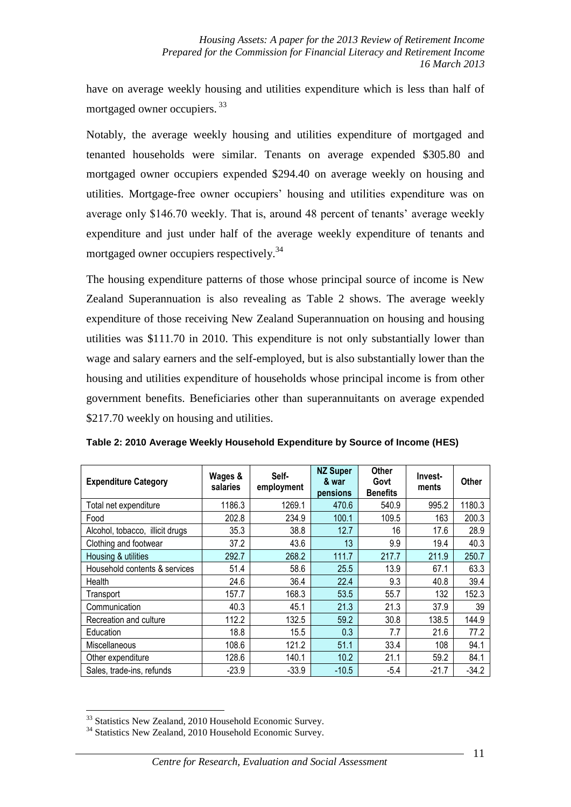have on average weekly housing and utilities expenditure which is less than half of mortgaged owner occupiers. <sup>33</sup>

Notably, the average weekly housing and utilities expenditure of mortgaged and tenanted households were similar. Tenants on average expended \$305.80 and mortgaged owner occupiers expended \$294.40 on average weekly on housing and utilities. Mortgage-free owner occupiers' housing and utilities expenditure was on average only \$146.70 weekly. That is, around 48 percent of tenants' average weekly expenditure and just under half of the average weekly expenditure of tenants and mortgaged owner occupiers respectively.<sup>34</sup>

The housing expenditure patterns of those whose principal source of income is New Zealand Superannuation is also revealing as Table 2 shows. The average weekly expenditure of those receiving New Zealand Superannuation on housing and housing utilities was \$111.70 in 2010. This expenditure is not only substantially lower than wage and salary earners and the self-employed, but is also substantially lower than the housing and utilities expenditure of households whose principal income is from other government benefits. Beneficiaries other than superannuitants on average expended \$217.70 weekly on housing and utilities.

| <b>Expenditure Category</b>     | Wages &<br>salaries | Self-<br>employment | <b>NZ Super</b><br>& war<br>pensions | <b>Other</b><br>Govt<br><b>Benefits</b> | Invest-<br>ments | Other   |
|---------------------------------|---------------------|---------------------|--------------------------------------|-----------------------------------------|------------------|---------|
| Total net expenditure           | 1186.3              | 1269.1              | 470.6                                | 540.9                                   | 995.2            | 1180.3  |
| Food                            | 202.8               | 234.9               | 100.1                                | 109.5                                   | 163              | 200.3   |
| Alcohol, tobacco, illicit drugs | 35.3                | 38.8                | 12.7                                 | 16                                      | 17.6             | 28.9    |
| Clothing and footwear           | 37.2                | 43.6                | 13                                   | 9.9                                     | 19.4             | 40.3    |
| Housing & utilities             | 292.7               | 268.2               | 111.7                                | 217.7                                   | 211.9            | 250.7   |
| Household contents & services   | 51.4                | 58.6                | 25.5                                 | 13.9                                    | 67.1             | 63.3    |
| Health                          | 24.6                | 36.4                | 22.4                                 | 9.3                                     | 40.8             | 39.4    |
| Transport                       | 157.7               | 168.3               | 53.5                                 | 55.7                                    | 132              | 152.3   |
| Communication                   | 40.3                | 45.1                | 21.3                                 | 21.3                                    | 37.9             | 39      |
| Recreation and culture          | 112.2               | 132.5               | 59.2                                 | 30.8                                    | 138.5            | 144.9   |
| Education                       | 18.8                | 15.5                | 0.3                                  | 7.7                                     | 21.6             | 77.2    |
| <b>Miscellaneous</b>            | 108.6               | 121.2               | 51.1                                 | 33.4                                    | 108              | 94.1    |
| Other expenditure               | 128.6               | 140.1               | 10.2                                 | 21.1                                    | 59.2             | 84.1    |
| Sales, trade-ins, refunds       | $-23.9$             | $-33.9$             | $-10.5$                              | $-5.4$                                  | $-21.7$          | $-34.2$ |

**Table 2: 2010 Average Weekly Household Expenditure by Source of Income (HES)**

<sup>&</sup>lt;sup>33</sup> Statistics New Zealand, 2010 Household Economic Survey.

<sup>&</sup>lt;sup>34</sup> Statistics New Zealand, 2010 Household Economic Survey.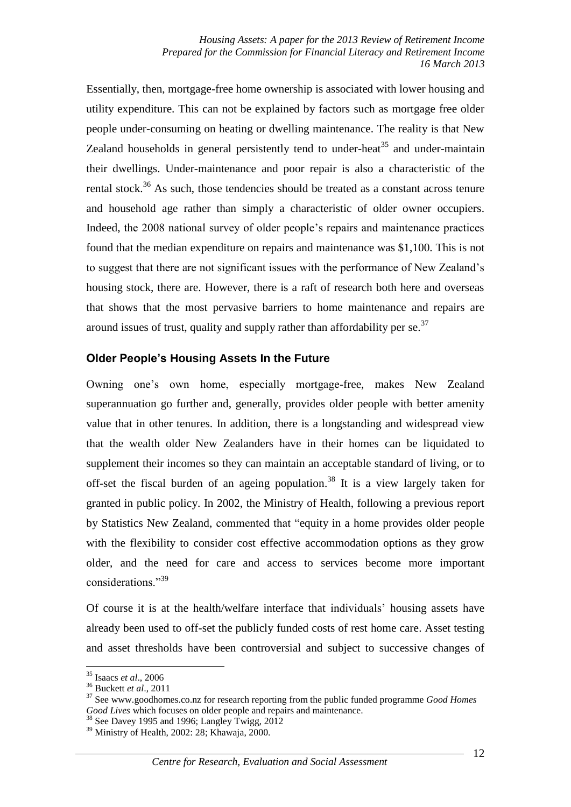Essentially, then, mortgage-free home ownership is associated with lower housing and utility expenditure. This can not be explained by factors such as mortgage free older people under-consuming on heating or dwelling maintenance. The reality is that New Zealand households in general persistently tend to under-heat<sup>35</sup> and under-maintain their dwellings. Under-maintenance and poor repair is also a characteristic of the rental stock.<sup>36</sup> As such, those tendencies should be treated as a constant across tenure and household age rather than simply a characteristic of older owner occupiers. Indeed, the 2008 national survey of older people's repairs and maintenance practices found that the median expenditure on repairs and maintenance was \$1,100. This is not to suggest that there are not significant issues with the performance of New Zealand's housing stock, there are. However, there is a raft of research both here and overseas that shows that the most pervasive barriers to home maintenance and repairs are around issues of trust, quality and supply rather than affordability per se.<sup>37</sup>

### **Older People's Housing Assets In the Future**

Owning one's own home, especially mortgage-free, makes New Zealand superannuation go further and, generally, provides older people with better amenity value that in other tenures. In addition, there is a longstanding and widespread view that the wealth older New Zealanders have in their homes can be liquidated to supplement their incomes so they can maintain an acceptable standard of living, or to off-set the fiscal burden of an ageing population. <sup>38</sup> It is a view largely taken for granted in public policy. In 2002, the Ministry of Health, following a previous report by Statistics New Zealand, commented that "equity in a home provides older people with the flexibility to consider cost effective accommodation options as they grow older, and the need for care and access to services become more important considerations."<sup>39</sup>

Of course it is at the health/welfare interface that individuals' housing assets have already been used to off-set the publicly funded costs of rest home care. Asset testing and asset thresholds have been controversial and subject to successive changes of

<sup>35</sup> Isaacs *et al*., 2006

<sup>36</sup> Buckett *et al*., 2011

<sup>37</sup> See www.goodhomes.co.nz for research reporting from the public funded programme *Good Homes Good Lives* which focuses on older people and repairs and maintenance.

<sup>&</sup>lt;sup>38</sup> See Davey 1995 and 1996; Langley Twigg, 2012

<sup>39</sup> Ministry of Health, 2002: 28; Khawaja, 2000.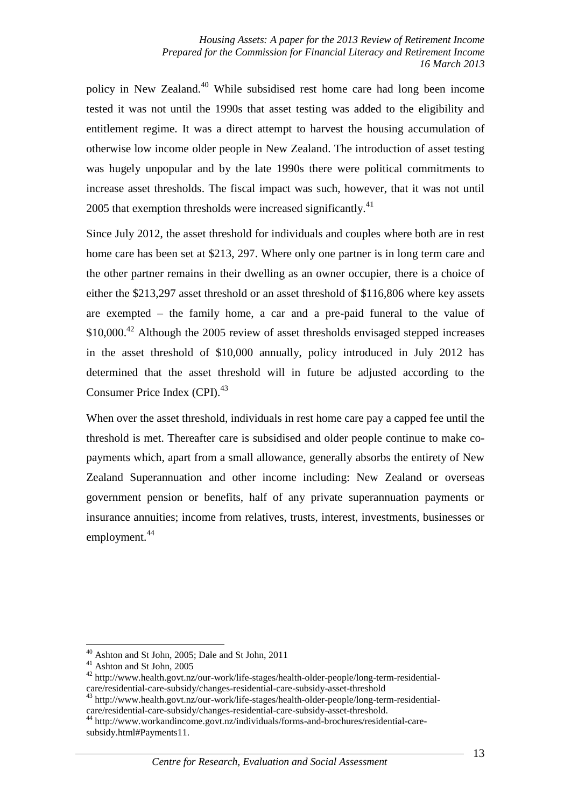policy in New Zealand.<sup>40</sup> While subsidised rest home care had long been income tested it was not until the 1990s that asset testing was added to the eligibility and entitlement regime. It was a direct attempt to harvest the housing accumulation of otherwise low income older people in New Zealand. The introduction of asset testing was hugely unpopular and by the late 1990s there were political commitments to increase asset thresholds. The fiscal impact was such, however, that it was not until 2005 that exemption thresholds were increased significantly.<sup>41</sup>

Since July 2012, the asset threshold for individuals and couples where both are in rest home care has been set at \$213, 297. Where only one partner is in long term care and the other partner remains in their dwelling as an owner occupier, there is a choice of either the \$213,297 asset threshold or an asset threshold of \$116,806 where key assets are exempted – the family home, a car and a pre-paid funeral to the value of \$10,000.<sup>42</sup> Although the 2005 review of asset thresholds envisaged stepped increases in the asset threshold of \$10,000 annually, policy introduced in July 2012 has determined that the asset threshold will in future be adjusted according to the Consumer Price Index (CPI).<sup>43</sup>

When over the asset threshold, individuals in rest home care pay a capped fee until the threshold is met. Thereafter care is subsidised and older people continue to make copayments which, apart from a small allowance, generally absorbs the entirety of New Zealand Superannuation and other income including: New Zealand or overseas government pension or benefits, half of any private superannuation payments or insurance annuities; income from relatives, trusts, interest, investments, businesses or employment. 44

<sup>40</sup> Ashton and St John, 2005; Dale and St John, 2011

<sup>&</sup>lt;sup>41</sup> Ashton and St John, 2005

<sup>42</sup> http://www.health.govt.nz/our-work/life-stages/health-older-people/long-term-residentialcare/residential-care-subsidy/changes-residential-care-subsidy-asset-threshold

<sup>43</sup> http://www.health.govt.nz/our-work/life-stages/health-older-people/long-term-residentialcare/residential-care-subsidy/changes-residential-care-subsidy-asset-threshold.

<sup>44</sup> http://www.workandincome.govt.nz/individuals/forms-and-brochures/residential-caresubsidy.html#Payments11.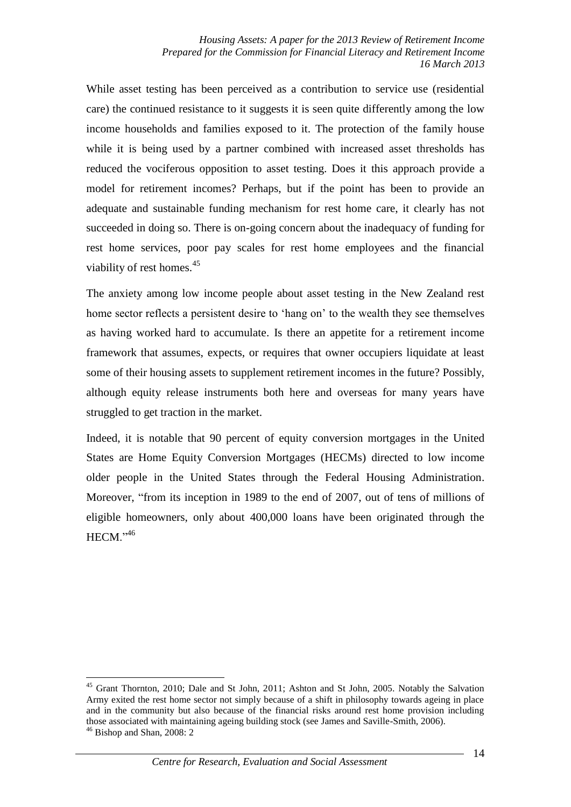While asset testing has been perceived as a contribution to service use (residential care) the continued resistance to it suggests it is seen quite differently among the low income households and families exposed to it. The protection of the family house while it is being used by a partner combined with increased asset thresholds has reduced the vociferous opposition to asset testing. Does it this approach provide a model for retirement incomes? Perhaps, but if the point has been to provide an adequate and sustainable funding mechanism for rest home care, it clearly has not succeeded in doing so. There is on-going concern about the inadequacy of funding for rest home services, poor pay scales for rest home employees and the financial viability of rest homes. $45$ 

The anxiety among low income people about asset testing in the New Zealand rest home sector reflects a persistent desire to 'hang on' to the wealth they see themselves as having worked hard to accumulate. Is there an appetite for a retirement income framework that assumes, expects, or requires that owner occupiers liquidate at least some of their housing assets to supplement retirement incomes in the future? Possibly, although equity release instruments both here and overseas for many years have struggled to get traction in the market.

Indeed, it is notable that 90 percent of equity conversion mortgages in the United States are Home Equity Conversion Mortgages (HECMs) directed to low income older people in the United States through the Federal Housing Administration. Moreover, "from its inception in 1989 to the end of 2007, out of tens of millions of eligible homeowners, only about 400,000 loans have been originated through the  $HECM.$ <sup> $,46$ </sup>

<sup>&</sup>lt;u>.</u> <sup>45</sup> Grant Thornton, 2010; Dale and St John, 2011; Ashton and St John, 2005. Notably the Salvation Army exited the rest home sector not simply because of a shift in philosophy towards ageing in place and in the community but also because of the financial risks around rest home provision including those associated with maintaining ageing building stock (see James and Saville-Smith, 2006).  $46$  Bishop and Shan, 2008: 2

*Centre for Research, Evaluation and Social Assessment*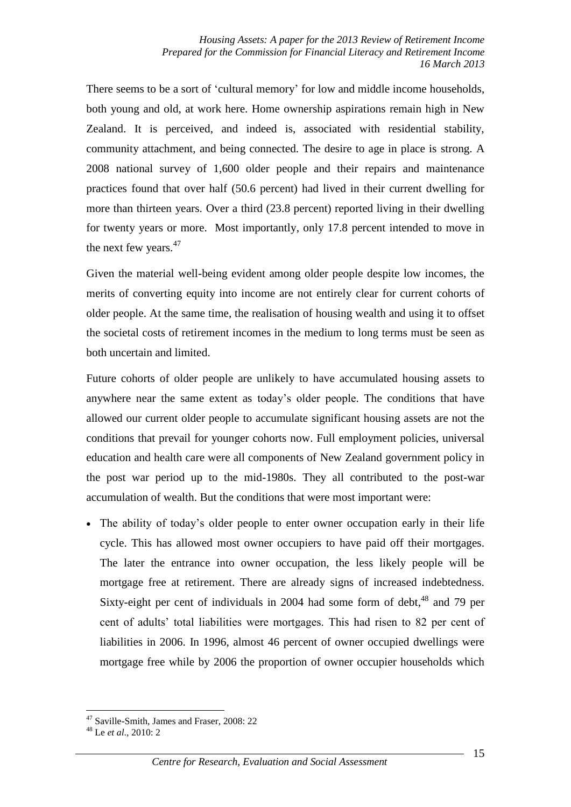There seems to be a sort of 'cultural memory' for low and middle income households, both young and old, at work here. Home ownership aspirations remain high in New Zealand. It is perceived, and indeed is, associated with residential stability, community attachment, and being connected. The desire to age in place is strong. A 2008 national survey of 1,600 older people and their repairs and maintenance practices found that over half (50.6 percent) had lived in their current dwelling for more than thirteen years. Over a third (23.8 percent) reported living in their dwelling for twenty years or more. Most importantly, only 17.8 percent intended to move in the next few years.<sup>47</sup>

Given the material well-being evident among older people despite low incomes, the merits of converting equity into income are not entirely clear for current cohorts of older people. At the same time, the realisation of housing wealth and using it to offset the societal costs of retirement incomes in the medium to long terms must be seen as both uncertain and limited.

Future cohorts of older people are unlikely to have accumulated housing assets to anywhere near the same extent as today's older people. The conditions that have allowed our current older people to accumulate significant housing assets are not the conditions that prevail for younger cohorts now. Full employment policies, universal education and health care were all components of New Zealand government policy in the post war period up to the mid-1980s. They all contributed to the post-war accumulation of wealth. But the conditions that were most important were:

 The ability of today's older people to enter owner occupation early in their life cycle. This has allowed most owner occupiers to have paid off their mortgages. The later the entrance into owner occupation, the less likely people will be mortgage free at retirement. There are already signs of increased indebtedness. Sixty-eight per cent of individuals in 2004 had some form of debt,<sup>48</sup> and 79 per cent of adults' total liabilities were mortgages. This had risen to 82 per cent of liabilities in 2006. In 1996, almost 46 percent of owner occupied dwellings were mortgage free while by 2006 the proportion of owner occupier households which

<sup>47</sup> Saville-Smith, James and Fraser, 2008: 22

<sup>48</sup> Le *et al*., 2010: 2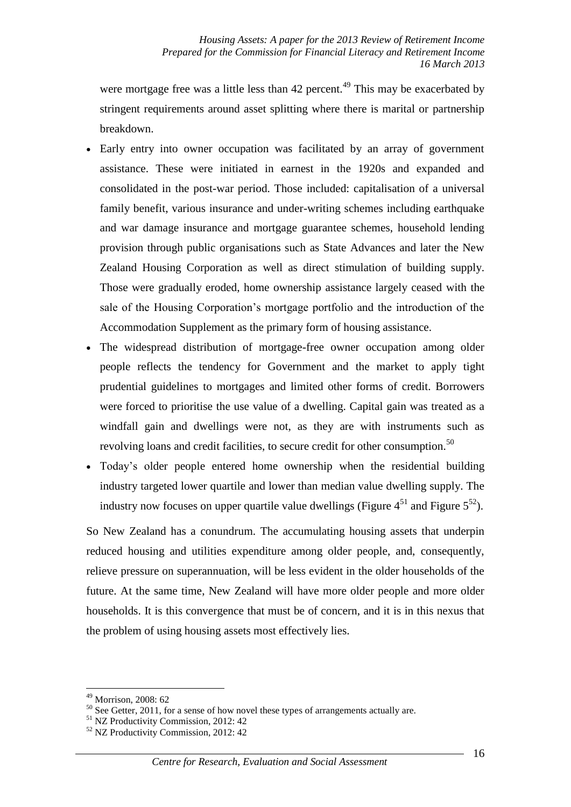were mortgage free was a little less than  $42$  percent.<sup>49</sup> This may be exacerbated by stringent requirements around asset splitting where there is marital or partnership breakdown.

- Early entry into owner occupation was facilitated by an array of government assistance. These were initiated in earnest in the 1920s and expanded and consolidated in the post-war period. Those included: capitalisation of a universal family benefit, various insurance and under-writing schemes including earthquake and war damage insurance and mortgage guarantee schemes, household lending provision through public organisations such as State Advances and later the New Zealand Housing Corporation as well as direct stimulation of building supply. Those were gradually eroded, home ownership assistance largely ceased with the sale of the Housing Corporation's mortgage portfolio and the introduction of the Accommodation Supplement as the primary form of housing assistance.
- The widespread distribution of mortgage-free owner occupation among older people reflects the tendency for Government and the market to apply tight prudential guidelines to mortgages and limited other forms of credit. Borrowers were forced to prioritise the use value of a dwelling. Capital gain was treated as a windfall gain and dwellings were not, as they are with instruments such as revolving loans and credit facilities, to secure credit for other consumption.<sup>50</sup>
- Today's older people entered home ownership when the residential building industry targeted lower quartile and lower than median value dwelling supply. The industry now focuses on upper quartile value dwellings (Figure  $4^{51}$  and Figure  $5^{52}$ ).

So New Zealand has a conundrum. The accumulating housing assets that underpin reduced housing and utilities expenditure among older people, and, consequently, relieve pressure on superannuation, will be less evident in the older households of the future. At the same time, New Zealand will have more older people and more older households. It is this convergence that must be of concern, and it is in this nexus that the problem of using housing assets most effectively lies.

<sup>49</sup> Morrison, 2008: 62

 $50$  See Getter, 2011, for a sense of how novel these types of arrangements actually are.

<sup>51</sup> NZ Productivity Commission, 2012: 42

<sup>52</sup> NZ Productivity Commission, 2012: 42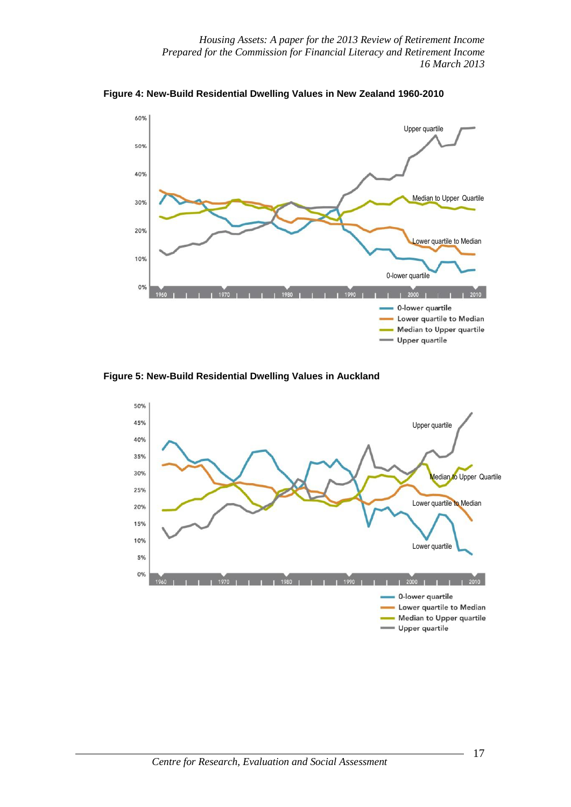*Housing Assets: A paper for the 2013 Review of Retirement Income Prepared for the Commission for Financial Literacy and Retirement Income 16 March 2013*



**Figure 4: New-Build Residential Dwelling Values in New Zealand 1960-2010**

**Figure 5: New-Build Residential Dwelling Values in Auckland**

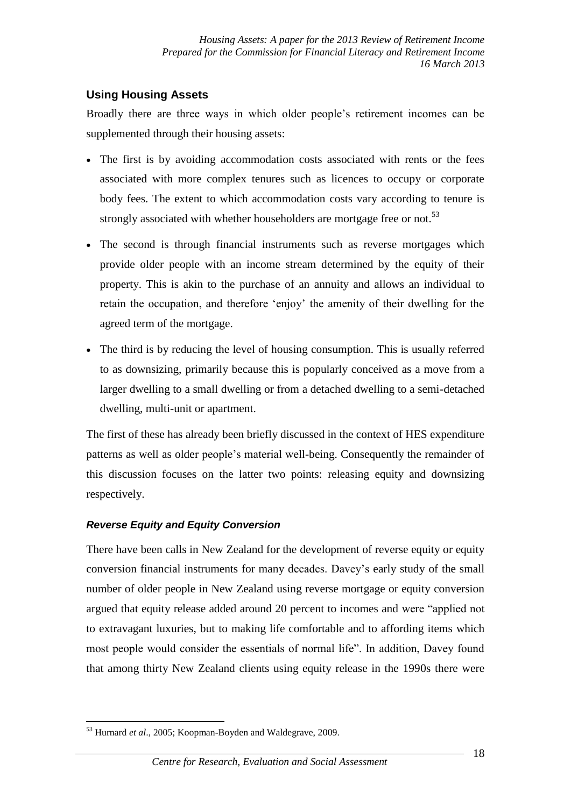# **Using Housing Assets**

Broadly there are three ways in which older people's retirement incomes can be supplemented through their housing assets:

- The first is by avoiding accommodation costs associated with rents or the fees associated with more complex tenures such as licences to occupy or corporate body fees. The extent to which accommodation costs vary according to tenure is strongly associated with whether householders are mortgage free or not.<sup>53</sup>
- The second is through financial instruments such as reverse mortgages which provide older people with an income stream determined by the equity of their property. This is akin to the purchase of an annuity and allows an individual to retain the occupation, and therefore 'enjoy' the amenity of their dwelling for the agreed term of the mortgage.
- The third is by reducing the level of housing consumption. This is usually referred to as downsizing, primarily because this is popularly conceived as a move from a larger dwelling to a small dwelling or from a detached dwelling to a semi-detached dwelling, multi-unit or apartment.

The first of these has already been briefly discussed in the context of HES expenditure patterns as well as older people's material well-being. Consequently the remainder of this discussion focuses on the latter two points: releasing equity and downsizing respectively.

## *Reverse Equity and Equity Conversion*

There have been calls in New Zealand for the development of reverse equity or equity conversion financial instruments for many decades. Davey's early study of the small number of older people in New Zealand using reverse mortgage or equity conversion argued that equity release added around 20 percent to incomes and were "applied not to extravagant luxuries, but to making life comfortable and to affording items which most people would consider the essentials of normal life". In addition, Davey found that among thirty New Zealand clients using equity release in the 1990s there were

<sup>1</sup> <sup>53</sup> Hurnard *et al*., 2005; Koopman-Boyden and Waldegrave, 2009.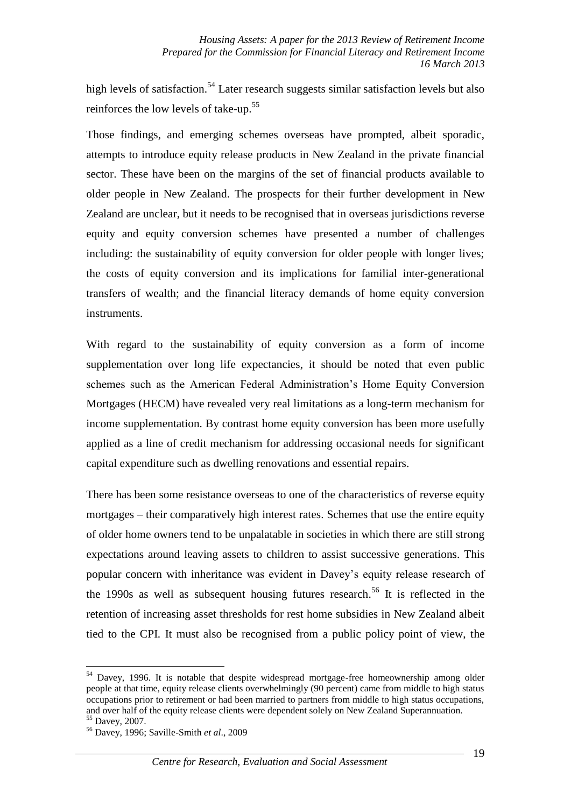high levels of satisfaction.<sup>54</sup> Later research suggests similar satisfaction levels but also reinforces the low levels of take-up.<sup>55</sup>

Those findings, and emerging schemes overseas have prompted, albeit sporadic, attempts to introduce equity release products in New Zealand in the private financial sector. These have been on the margins of the set of financial products available to older people in New Zealand. The prospects for their further development in New Zealand are unclear, but it needs to be recognised that in overseas jurisdictions reverse equity and equity conversion schemes have presented a number of challenges including: the sustainability of equity conversion for older people with longer lives; the costs of equity conversion and its implications for familial inter-generational transfers of wealth; and the financial literacy demands of home equity conversion instruments.

With regard to the sustainability of equity conversion as a form of income supplementation over long life expectancies, it should be noted that even public schemes such as the American Federal Administration's Home Equity Conversion Mortgages (HECM) have revealed very real limitations as a long-term mechanism for income supplementation. By contrast home equity conversion has been more usefully applied as a line of credit mechanism for addressing occasional needs for significant capital expenditure such as dwelling renovations and essential repairs.

There has been some resistance overseas to one of the characteristics of reverse equity mortgages – their comparatively high interest rates. Schemes that use the entire equity of older home owners tend to be unpalatable in societies in which there are still strong expectations around leaving assets to children to assist successive generations. This popular concern with inheritance was evident in Davey's equity release research of the 1990s as well as subsequent housing futures research. <sup>56</sup> It is reflected in the retention of increasing asset thresholds for rest home subsidies in New Zealand albeit tied to the CPI. It must also be recognised from a public policy point of view, the

<sup>&</sup>lt;sup>54</sup> Davey, 1996. It is notable that despite widespread mortgage-free homeownership among older people at that time, equity release clients overwhelmingly (90 percent) came from middle to high status occupations prior to retirement or had been married to partners from middle to high status occupations, and over half of the equity release clients were dependent solely on New Zealand Superannuation.  $55$  Davey, 2007.

<sup>56</sup> Davey, 1996; Saville-Smith *et al*., 2009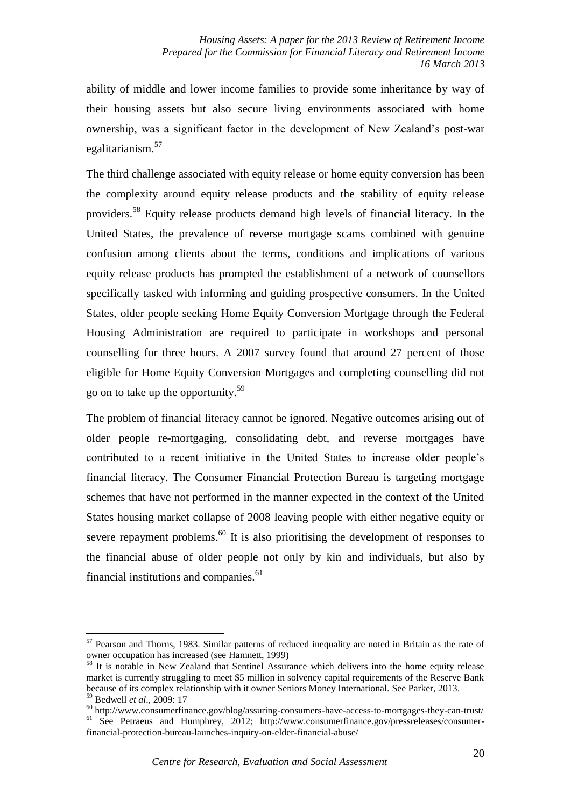ability of middle and lower income families to provide some inheritance by way of their housing assets but also secure living environments associated with home ownership, was a significant factor in the development of New Zealand's post-war egalitarianism.<sup>57</sup>

The third challenge associated with equity release or home equity conversion has been the complexity around equity release products and the stability of equity release providers.<sup>58</sup> Equity release products demand high levels of financial literacy. In the United States, the prevalence of reverse mortgage scams combined with genuine confusion among clients about the terms, conditions and implications of various equity release products has prompted the establishment of a network of counsellors specifically tasked with informing and guiding prospective consumers. In the United States, older people seeking Home Equity Conversion Mortgage through the Federal Housing Administration are required to participate in workshops and personal counselling for three hours. A 2007 survey found that around 27 percent of those eligible for Home Equity Conversion Mortgages and completing counselling did not go on to take up the opportunity.<sup>59</sup>

The problem of financial literacy cannot be ignored. Negative outcomes arising out of older people re-mortgaging, consolidating debt, and reverse mortgages have contributed to a recent initiative in the United States to increase older people's financial literacy. The Consumer Financial Protection Bureau is targeting mortgage schemes that have not performed in the manner expected in the context of the United States housing market collapse of 2008 leaving people with either negative equity or severe repayment problems.<sup>60</sup> It is also prioritising the development of responses to the financial abuse of older people not only by kin and individuals, but also by financial institutions and companies. $61$ 

<u>.</u>

<sup>&</sup>lt;sup>57</sup> Pearson and Thorns, 1983. Similar patterns of reduced inequality are noted in Britain as the rate of owner occupation has increased (see Hamnett, 1999)

<sup>&</sup>lt;sup>58</sup> It is notable in New Zealand that Sentinel Assurance which delivers into the home equity release market is currently struggling to meet \$5 million in solvency capital requirements of the Reserve Bank because of its complex relationship with it owner Seniors Money International. See Parker, 2013. <sup>59</sup> Bedwell *et al*., 2009: 17

<sup>60</sup> http://www.consumerfinance.gov/blog/assuring-consumers-have-access-to-mortgages-they-can-trust/ <sup>61</sup> See Petraeus and Humphrey, 2012; http://www.consumerfinance.gov/pressreleases/consumerfinancial-protection-bureau-launches-inquiry-on-elder-financial-abuse/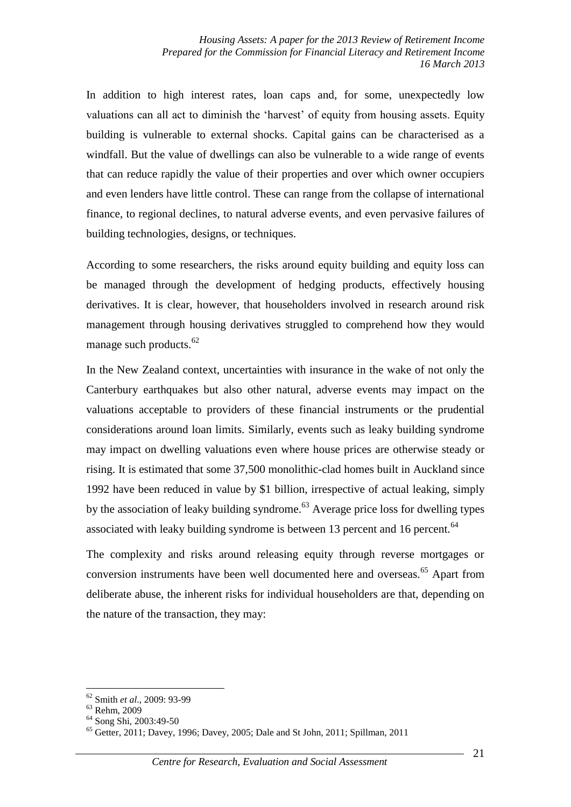In addition to high interest rates, loan caps and, for some, unexpectedly low valuations can all act to diminish the 'harvest' of equity from housing assets. Equity building is vulnerable to external shocks. Capital gains can be characterised as a windfall. But the value of dwellings can also be vulnerable to a wide range of events that can reduce rapidly the value of their properties and over which owner occupiers and even lenders have little control. These can range from the collapse of international finance, to regional declines, to natural adverse events, and even pervasive failures of building technologies, designs, or techniques.

According to some researchers, the risks around equity building and equity loss can be managed through the development of hedging products, effectively housing derivatives. It is clear, however, that householders involved in research around risk management through housing derivatives struggled to comprehend how they would manage such products.<sup>62</sup>

In the New Zealand context, uncertainties with insurance in the wake of not only the Canterbury earthquakes but also other natural, adverse events may impact on the valuations acceptable to providers of these financial instruments or the prudential considerations around loan limits. Similarly, events such as leaky building syndrome may impact on dwelling valuations even where house prices are otherwise steady or rising. It is estimated that some 37,500 monolithic-clad homes built in Auckland since 1992 have been reduced in value by \$1 billion, irrespective of actual leaking, simply by the association of leaky building syndrome.<sup>63</sup> Average price loss for dwelling types associated with leaky building syndrome is between 13 percent and 16 percent.<sup>64</sup>

The complexity and risks around releasing equity through reverse mortgages or conversion instruments have been well documented here and overseas.<sup>65</sup> Apart from deliberate abuse, the inherent risks for individual householders are that, depending on the nature of the transaction, they may:

<sup>62</sup> Smith *et al*., 2009: 93-99

<sup>63</sup> Rehm, 2009

<sup>64</sup> Song Shi, 2003:49-50

<sup>65</sup> Getter, 2011; Davey, 1996; Davey, 2005; Dale and St John, 2011; Spillman, 2011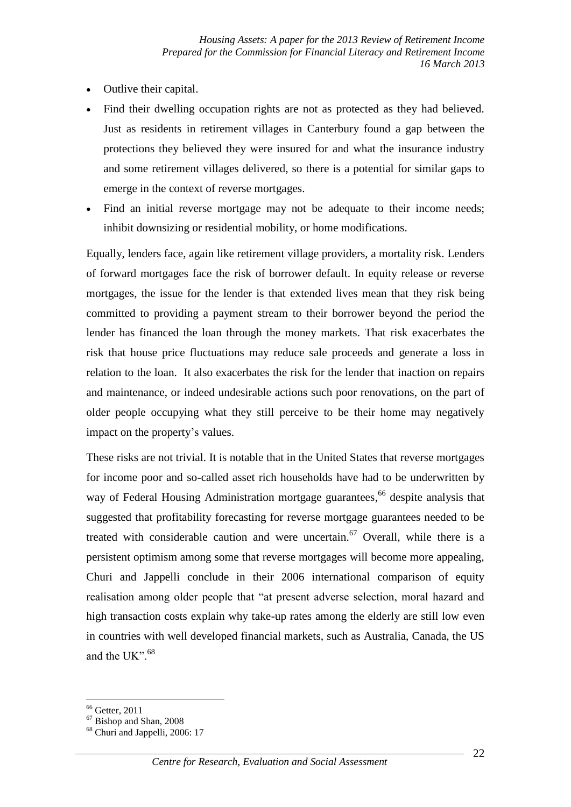- Outlive their capital.
- Find their dwelling occupation rights are not as protected as they had believed. Just as residents in retirement villages in Canterbury found a gap between the protections they believed they were insured for and what the insurance industry and some retirement villages delivered, so there is a potential for similar gaps to emerge in the context of reverse mortgages.
- Find an initial reverse mortgage may not be adequate to their income needs; inhibit downsizing or residential mobility, or home modifications.

Equally, lenders face, again like retirement village providers, a mortality risk. Lenders of forward mortgages face the risk of borrower default. In equity release or reverse mortgages, the issue for the lender is that extended lives mean that they risk being committed to providing a payment stream to their borrower beyond the period the lender has financed the loan through the money markets. That risk exacerbates the risk that house price fluctuations may reduce sale proceeds and generate a loss in relation to the loan. It also exacerbates the risk for the lender that inaction on repairs and maintenance, or indeed undesirable actions such poor renovations, on the part of older people occupying what they still perceive to be their home may negatively impact on the property's values.

These risks are not trivial. It is notable that in the United States that reverse mortgages for income poor and so-called asset rich households have had to be underwritten by way of Federal Housing Administration mortgage guarantees,<sup>66</sup> despite analysis that suggested that profitability forecasting for reverse mortgage guarantees needed to be treated with considerable caution and were uncertain. <sup>67</sup> Overall, while there is a persistent optimism among some that reverse mortgages will become more appealing, Churi and Jappelli conclude in their 2006 international comparison of equity realisation among older people that "at present adverse selection, moral hazard and high transaction costs explain why take-up rates among the elderly are still low even in countries with well developed financial markets, such as Australia, Canada, the US and the UK".<sup>68</sup>

<u>.</u>

<sup>&</sup>lt;sup>66</sup> Getter, 2011

 $67$  Bishop and Shan, 2008

<sup>&</sup>lt;sup>68</sup> Churi and Jappelli, 2006: 17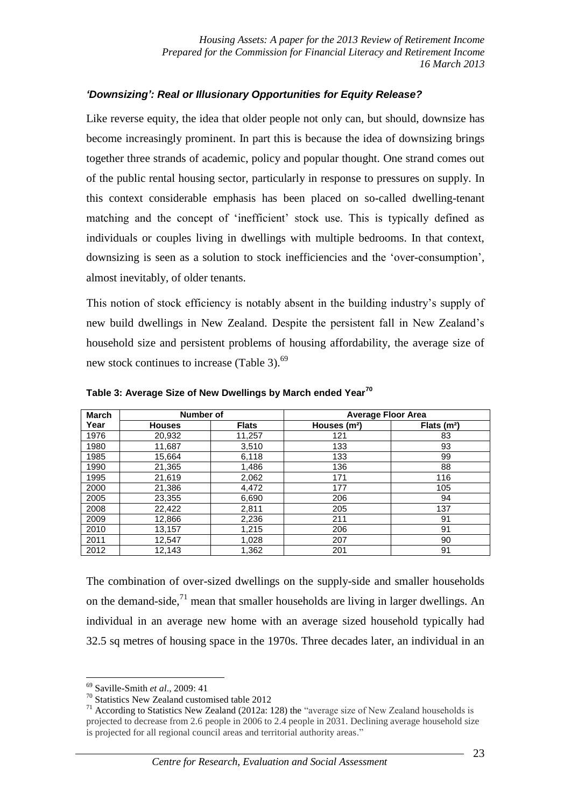### *'Downsizing': Real or Illusionary Opportunities for Equity Release?*

Like reverse equity, the idea that older people not only can, but should, downsize has become increasingly prominent. In part this is because the idea of downsizing brings together three strands of academic, policy and popular thought. One strand comes out of the public rental housing sector, particularly in response to pressures on supply. In this context considerable emphasis has been placed on so-called dwelling-tenant matching and the concept of 'inefficient' stock use. This is typically defined as individuals or couples living in dwellings with multiple bedrooms. In that context, downsizing is seen as a solution to stock inefficiencies and the 'over-consumption', almost inevitably, of older tenants.

This notion of stock efficiency is notably absent in the building industry's supply of new build dwellings in New Zealand. Despite the persistent fall in New Zealand's household size and persistent problems of housing affordability, the average size of new stock continues to increase (Table 3).<sup>69</sup>

| <b>March</b> | Number of     |              | <b>Average Floor Area</b> |              |  |  |
|--------------|---------------|--------------|---------------------------|--------------|--|--|
| Year         | <b>Houses</b> | <b>Flats</b> | Houses (m <sup>2</sup> )  | Flats $(m2)$ |  |  |
| 1976         | 20,932        | 11,257       | 121                       | 83           |  |  |
| 1980         | 11,687        | 3,510        | 133                       | 93           |  |  |
| 1985         | 15,664        | 6,118        | 133                       | 99           |  |  |
| 1990         | 21,365        | 1,486        | 136                       | 88           |  |  |
| 1995         | 21,619        | 2,062        | 171                       | 116          |  |  |
| 2000         | 21,386        | 4,472        | 177                       | 105          |  |  |
| 2005         | 23,355        | 6,690        | 206                       | 94           |  |  |
| 2008         | 22,422        | 2,811        | 205                       | 137          |  |  |
| 2009         | 12,866        | 2,236        | 211                       | 91           |  |  |
| 2010         | 13,157        | 1,215        | 206                       | 91           |  |  |
| 2011         | 12,547        | 1,028        | 207                       | 90           |  |  |
| 2012         | 12.143        | 1,362        | 201                       | 91           |  |  |

**Table 3: Average Size of New Dwellings by March ended Year<sup>70</sup>**

The combination of over-sized dwellings on the supply-side and smaller households on the demand-side, $^{71}$  mean that smaller households are living in larger dwellings. An individual in an average new home with an average sized household typically had 32.5 sq metres of housing space in the 1970s. Three decades later, an individual in an

<u>.</u>

<sup>69</sup> Saville-Smith *et al*., 2009: 41

<sup>&</sup>lt;sup>70</sup> Statistics New Zealand customised table 2012

 $71$  According to Statistics New Zealand (2012a: 128) the "average size of New Zealand households is projected to decrease from 2.6 people in 2006 to 2.4 people in 2031. Declining average household size is projected for all regional council areas and territorial authority areas."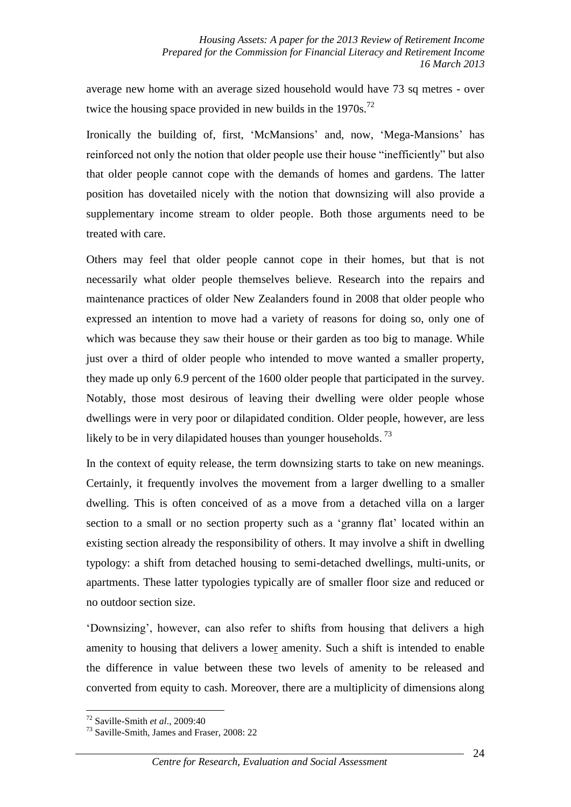average new home with an average sized household would have 73 sq metres - over twice the housing space provided in new builds in the  $1970s$ .<sup>72</sup>

Ironically the building of, first, 'McMansions' and, now, 'Mega-Mansions' has reinforced not only the notion that older people use their house "inefficiently" but also that older people cannot cope with the demands of homes and gardens. The latter position has dovetailed nicely with the notion that downsizing will also provide a supplementary income stream to older people. Both those arguments need to be treated with care.

Others may feel that older people cannot cope in their homes, but that is not necessarily what older people themselves believe. Research into the repairs and maintenance practices of older New Zealanders found in 2008 that older people who expressed an intention to move had a variety of reasons for doing so, only one of which was because they saw their house or their garden as too big to manage. While just over a third of older people who intended to move wanted a smaller property, they made up only 6.9 percent of the 1600 older people that participated in the survey. Notably, those most desirous of leaving their dwelling were older people whose dwellings were in very poor or dilapidated condition. Older people, however, are less likely to be in very dilapidated houses than younger households.<sup>73</sup>

In the context of equity release, the term downsizing starts to take on new meanings. Certainly, it frequently involves the movement from a larger dwelling to a smaller dwelling. This is often conceived of as a move from a detached villa on a larger section to a small or no section property such as a 'granny flat' located within an existing section already the responsibility of others. It may involve a shift in dwelling typology: a shift from detached housing to semi-detached dwellings, multi-units, or apartments. These latter typologies typically are of smaller floor size and reduced or no outdoor section size.

'Downsizing', however, can also refer to shifts from housing that delivers a high amenity to housing that delivers a lower amenity. Such a shift is intended to enable the difference in value between these two levels of amenity to be released and converted from equity to cash. Moreover, there are a multiplicity of dimensions along

<sup>72</sup> Saville-Smith *et al*., 2009:40

<sup>73</sup> Saville-Smith, James and Fraser, 2008: 22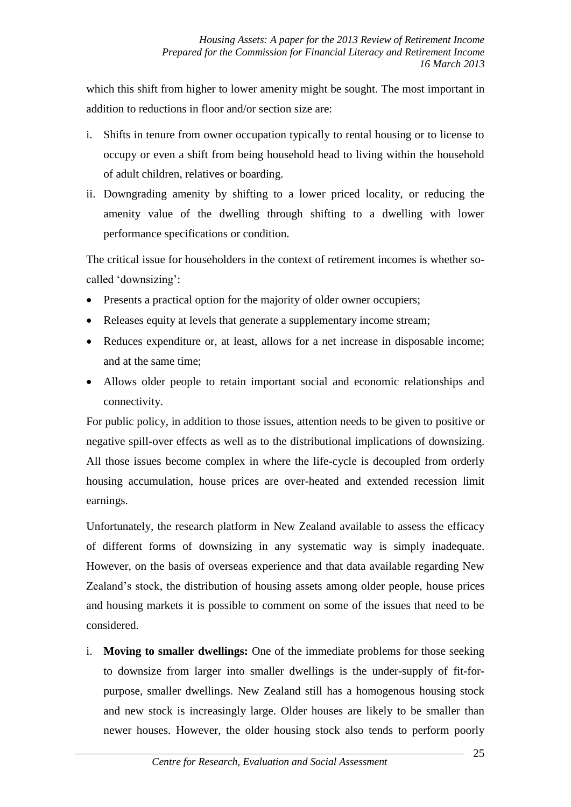which this shift from higher to lower amenity might be sought. The most important in addition to reductions in floor and/or section size are:

- i. Shifts in tenure from owner occupation typically to rental housing or to license to occupy or even a shift from being household head to living within the household of adult children, relatives or boarding.
- ii. Downgrading amenity by shifting to a lower priced locality, or reducing the amenity value of the dwelling through shifting to a dwelling with lower performance specifications or condition.

The critical issue for householders in the context of retirement incomes is whether socalled 'downsizing':

- Presents a practical option for the majority of older owner occupiers;
- Releases equity at levels that generate a supplementary income stream:
- Reduces expenditure or, at least, allows for a net increase in disposable income; and at the same time;
- Allows older people to retain important social and economic relationships and connectivity.

For public policy, in addition to those issues, attention needs to be given to positive or negative spill-over effects as well as to the distributional implications of downsizing. All those issues become complex in where the life-cycle is decoupled from orderly housing accumulation, house prices are over-heated and extended recession limit earnings.

Unfortunately, the research platform in New Zealand available to assess the efficacy of different forms of downsizing in any systematic way is simply inadequate. However, on the basis of overseas experience and that data available regarding New Zealand's stock, the distribution of housing assets among older people, house prices and housing markets it is possible to comment on some of the issues that need to be considered.

i. **Moving to smaller dwellings:** One of the immediate problems for those seeking to downsize from larger into smaller dwellings is the under-supply of fit-forpurpose, smaller dwellings. New Zealand still has a homogenous housing stock and new stock is increasingly large. Older houses are likely to be smaller than newer houses. However, the older housing stock also tends to perform poorly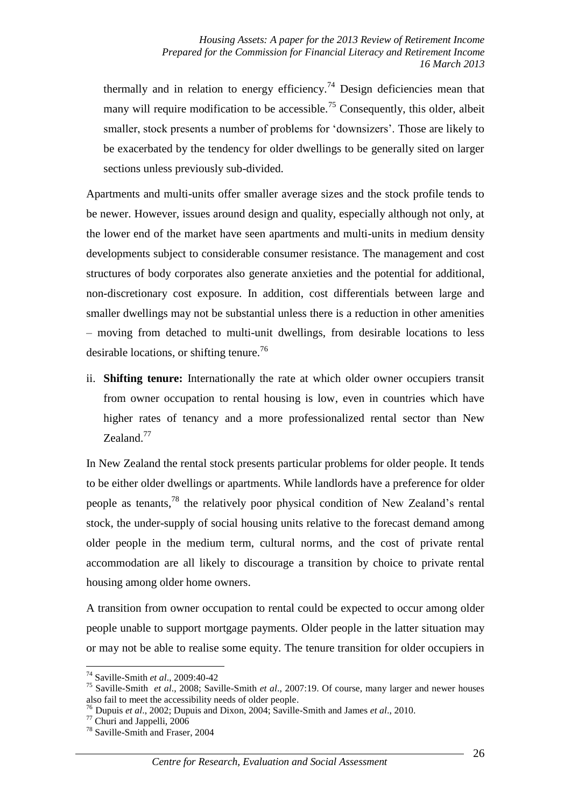thermally and in relation to energy efficiency.<sup>74</sup> Design deficiencies mean that many will require modification to be accessible.<sup>75</sup> Consequently, this older, albeit smaller, stock presents a number of problems for 'downsizers'. Those are likely to be exacerbated by the tendency for older dwellings to be generally sited on larger sections unless previously sub-divided.

Apartments and multi-units offer smaller average sizes and the stock profile tends to be newer. However, issues around design and quality, especially although not only, at the lower end of the market have seen apartments and multi-units in medium density developments subject to considerable consumer resistance. The management and cost structures of body corporates also generate anxieties and the potential for additional, non-discretionary cost exposure. In addition, cost differentials between large and smaller dwellings may not be substantial unless there is a reduction in other amenities – moving from detached to multi-unit dwellings, from desirable locations to less desirable locations, or shifting tenure.<sup>76</sup>

ii. **Shifting tenure:** Internationally the rate at which older owner occupiers transit from owner occupation to rental housing is low, even in countries which have higher rates of tenancy and a more professionalized rental sector than New Zealand.<sup>77</sup>

In New Zealand the rental stock presents particular problems for older people. It tends to be either older dwellings or apartments. While landlords have a preference for older people as tenants,<sup>78</sup> the relatively poor physical condition of New Zealand's rental stock, the under-supply of social housing units relative to the forecast demand among older people in the medium term, cultural norms, and the cost of private rental accommodation are all likely to discourage a transition by choice to private rental housing among older home owners.

A transition from owner occupation to rental could be expected to occur among older people unable to support mortgage payments. Older people in the latter situation may or may not be able to realise some equity. The tenure transition for older occupiers in

<sup>74</sup> Saville-Smith *et al*., 2009:40-42

<sup>75</sup> Saville-Smith *et al*., 2008; Saville-Smith *et al*., 2007:19. Of course, many larger and newer houses also fail to meet the accessibility needs of older people.

<sup>76</sup> Dupuis *et al*., 2002; Dupuis and Dixon, 2004; Saville-Smith and James *et al*., 2010.

<sup>77</sup> Churi and Jappelli, 2006

<sup>&</sup>lt;sup>78</sup> Saville-Smith and Fraser, 2004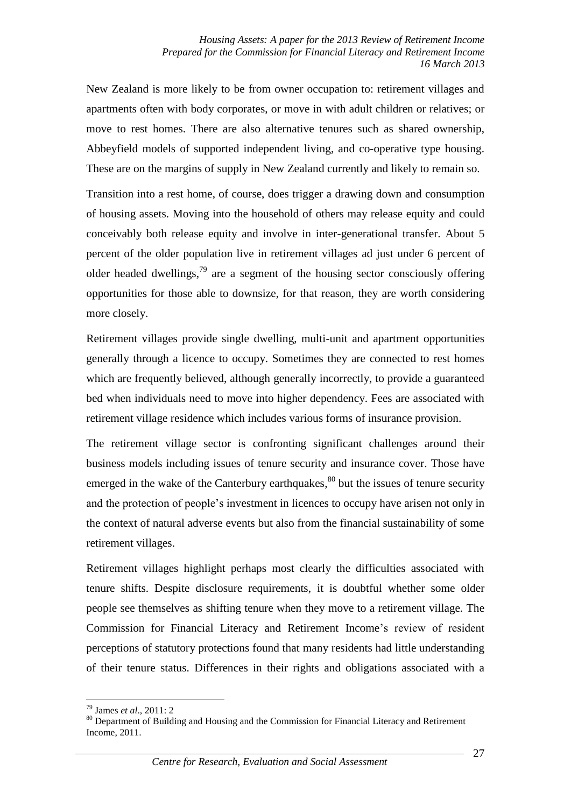New Zealand is more likely to be from owner occupation to: retirement villages and apartments often with body corporates, or move in with adult children or relatives; or move to rest homes. There are also alternative tenures such as shared ownership, Abbeyfield models of supported independent living, and co-operative type housing. These are on the margins of supply in New Zealand currently and likely to remain so.

Transition into a rest home, of course, does trigger a drawing down and consumption of housing assets. Moving into the household of others may release equity and could conceivably both release equity and involve in inter-generational transfer. About 5 percent of the older population live in retirement villages ad just under 6 percent of older headed dwellings, $79$  are a segment of the housing sector consciously offering opportunities for those able to downsize, for that reason, they are worth considering more closely.

Retirement villages provide single dwelling, multi-unit and apartment opportunities generally through a licence to occupy. Sometimes they are connected to rest homes which are frequently believed, although generally incorrectly, to provide a guaranteed bed when individuals need to move into higher dependency. Fees are associated with retirement village residence which includes various forms of insurance provision.

The retirement village sector is confronting significant challenges around their business models including issues of tenure security and insurance cover. Those have emerged in the wake of the Canterbury earthquakes,<sup>80</sup> but the issues of tenure security and the protection of people's investment in licences to occupy have arisen not only in the context of natural adverse events but also from the financial sustainability of some retirement villages.

Retirement villages highlight perhaps most clearly the difficulties associated with tenure shifts. Despite disclosure requirements, it is doubtful whether some older people see themselves as shifting tenure when they move to a retirement village. The Commission for Financial Literacy and Retirement Income's review of resident perceptions of statutory protections found that many residents had little understanding of their tenure status. Differences in their rights and obligations associated with a

<sup>&</sup>lt;u>.</u> <sup>79</sup> James *et al*., 2011: 2

<sup>80</sup> Department of Building and Housing and the Commission for Financial Literacy and Retirement Income, 2011.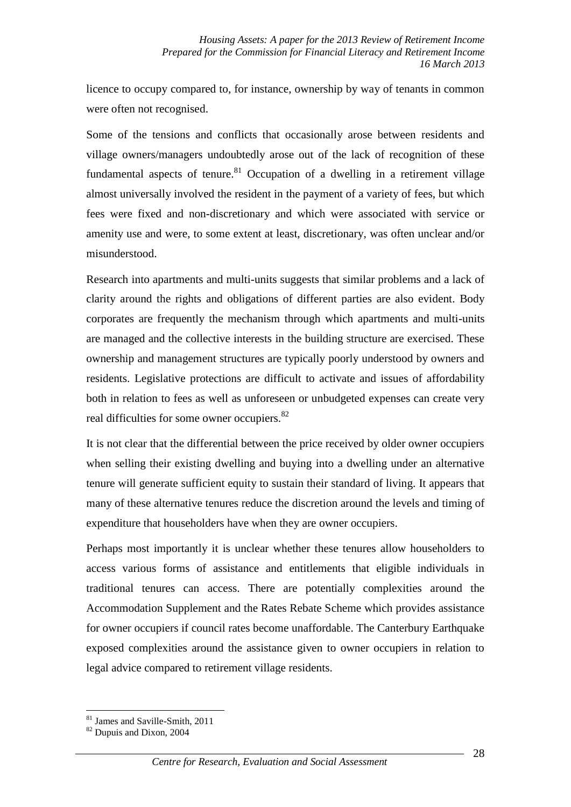licence to occupy compared to, for instance, ownership by way of tenants in common were often not recognised.

Some of the tensions and conflicts that occasionally arose between residents and village owners/managers undoubtedly arose out of the lack of recognition of these fundamental aspects of tenure.<sup>81</sup> Occupation of a dwelling in a retirement village almost universally involved the resident in the payment of a variety of fees, but which fees were fixed and non-discretionary and which were associated with service or amenity use and were, to some extent at least, discretionary, was often unclear and/or misunderstood.

Research into apartments and multi-units suggests that similar problems and a lack of clarity around the rights and obligations of different parties are also evident. Body corporates are frequently the mechanism through which apartments and multi-units are managed and the collective interests in the building structure are exercised. These ownership and management structures are typically poorly understood by owners and residents. Legislative protections are difficult to activate and issues of affordability both in relation to fees as well as unforeseen or unbudgeted expenses can create very real difficulties for some owner occupiers.<sup>82</sup>

It is not clear that the differential between the price received by older owner occupiers when selling their existing dwelling and buying into a dwelling under an alternative tenure will generate sufficient equity to sustain their standard of living. It appears that many of these alternative tenures reduce the discretion around the levels and timing of expenditure that householders have when they are owner occupiers.

Perhaps most importantly it is unclear whether these tenures allow householders to access various forms of assistance and entitlements that eligible individuals in traditional tenures can access. There are potentially complexities around the Accommodation Supplement and the Rates Rebate Scheme which provides assistance for owner occupiers if council rates become unaffordable. The Canterbury Earthquake exposed complexities around the assistance given to owner occupiers in relation to legal advice compared to retirement village residents.

<sup>81</sup> James and Saville-Smith, 2011

<sup>82</sup> Dupuis and Dixon, 2004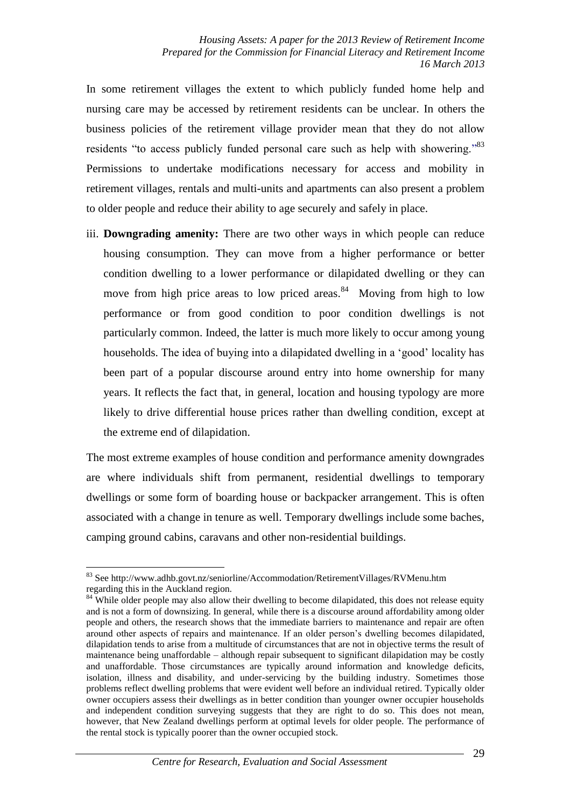In some retirement villages the extent to which publicly funded home help and nursing care may be accessed by retirement residents can be unclear. In others the business policies of the retirement village provider mean that they do not allow residents "to access publicly funded personal care such as help with showering."<sup>83</sup> Permissions to undertake modifications necessary for access and mobility in retirement villages, rentals and multi-units and apartments can also present a problem to older people and reduce their ability to age securely and safely in place.

iii. **Downgrading amenity:** There are two other ways in which people can reduce housing consumption. They can move from a higher performance or better condition dwelling to a lower performance or dilapidated dwelling or they can move from high price areas to low priced areas. $84$  Moving from high to low performance or from good condition to poor condition dwellings is not particularly common. Indeed, the latter is much more likely to occur among young households. The idea of buying into a dilapidated dwelling in a 'good' locality has been part of a popular discourse around entry into home ownership for many years. It reflects the fact that, in general, location and housing typology are more likely to drive differential house prices rather than dwelling condition, except at the extreme end of dilapidation.

The most extreme examples of house condition and performance amenity downgrades are where individuals shift from permanent, residential dwellings to temporary dwellings or some form of boarding house or backpacker arrangement. This is often associated with a change in tenure as well. Temporary dwellings include some baches, camping ground cabins, caravans and other non-residential buildings.

<sup>&</sup>lt;u>.</u> <sup>83</sup> See http://www.adhb.govt.nz/seniorline/Accommodation/RetirementVillages/RVMenu.htm regarding this in the Auckland region.

<sup>&</sup>lt;sup>84</sup> While older people may also allow their dwelling to become dilapidated, this does not release equity and is not a form of downsizing. In general, while there is a discourse around affordability among older people and others, the research shows that the immediate barriers to maintenance and repair are often around other aspects of repairs and maintenance. If an older person's dwelling becomes dilapidated, dilapidation tends to arise from a multitude of circumstances that are not in objective terms the result of maintenance being unaffordable – although repair subsequent to significant dilapidation may be costly and unaffordable. Those circumstances are typically around information and knowledge deficits, isolation, illness and disability, and under-servicing by the building industry. Sometimes those problems reflect dwelling problems that were evident well before an individual retired. Typically older owner occupiers assess their dwellings as in better condition than younger owner occupier households and independent condition surveying suggests that they are right to do so. This does not mean, however, that New Zealand dwellings perform at optimal levels for older people. The performance of the rental stock is typically poorer than the owner occupied stock.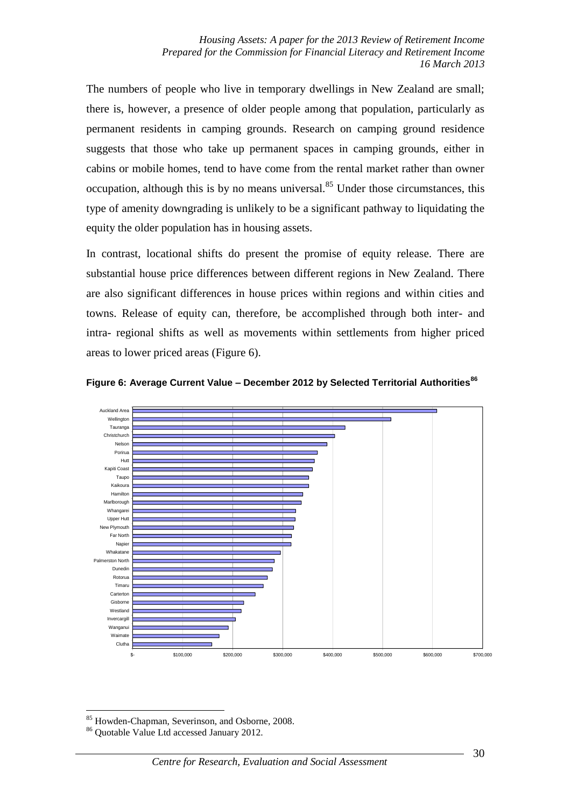The numbers of people who live in temporary dwellings in New Zealand are small; there is, however, a presence of older people among that population, particularly as permanent residents in camping grounds. Research on camping ground residence suggests that those who take up permanent spaces in camping grounds, either in cabins or mobile homes, tend to have come from the rental market rather than owner occupation, although this is by no means universal.<sup>85</sup> Under those circumstances, this type of amenity downgrading is unlikely to be a significant pathway to liquidating the equity the older population has in housing assets.

In contrast, locational shifts do present the promise of equity release. There are substantial house price differences between different regions in New Zealand. There are also significant differences in house prices within regions and within cities and towns. Release of equity can, therefore, be accomplished through both inter- and intra- regional shifts as well as movements within settlements from higher priced areas to lower priced areas (Figure 6).



**Figure 6: Average Current Value – December 2012 by Selected Territorial Authorities<sup>86</sup>**

<sup>1</sup> <sup>85</sup> Howden-Chapman, Severinson, and Osborne, 2008.

<sup>86</sup> Quotable Value Ltd accessed January 2012.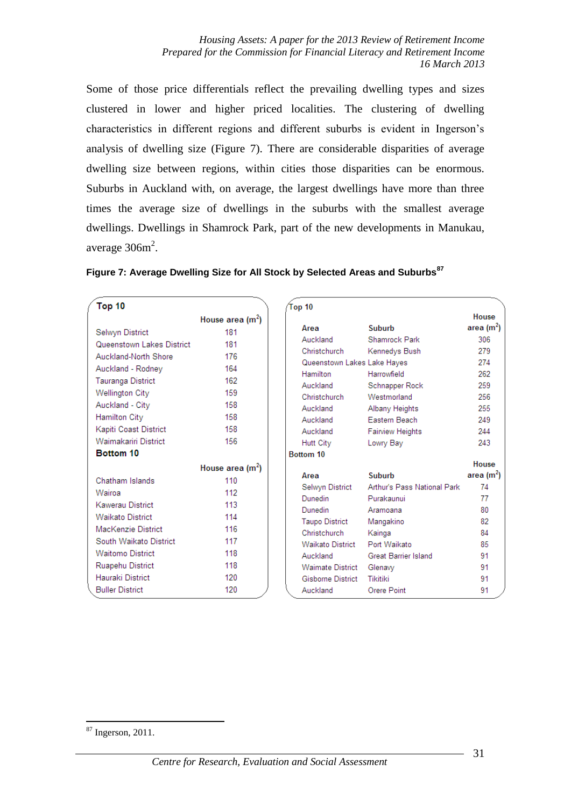*Housing Assets: A paper for the 2013 Review of Retirement Income Prepared for the Commission for Financial Literacy and Retirement Income 16 March 2013*

Some of those price differentials reflect the prevailing dwelling types and sizes clustered in lower and higher priced localities. The clustering of dwelling characteristics in different regions and different suburbs is evident in Ingerson's analysis of dwelling size (Figure 7). There are considerable disparities of average dwelling size between regions, within cities those disparities can be enormous. Suburbs in Auckland with, on average, the largest dwellings have more than three times the average size of dwellings in the suburbs with the smallest average dwellings. Dwellings in Shamrock Park, part of the new developments in Manukau, average  $306m^2$ .

| Top 10                    |                   | Top 10                      |                             |                        |
|---------------------------|-------------------|-----------------------------|-----------------------------|------------------------|
|                           | House area $(m2)$ |                             |                             | House                  |
| Selwyn District           | 181               | Area                        | Suburb                      | area (m $^2$ )         |
| Queenstown Lakes District | 181               | Auckland                    | Shamrock Park               | 306                    |
| Auckland-North Shore      | 176               | Christchurch                | Kennedys Bush               | 279                    |
| Auckland - Rodney         | 164               | Queenstown Lakes Lake Hayes |                             | 274                    |
| Tauranga District         | 162               | <b>Hamilton</b>             | Harrowfield                 | 262                    |
| <b>Wellington City</b>    | 159               | Auckland                    | Schnapper Rock              | 259                    |
| Auckland - City           | 158               | Christehurch                | Westmorland                 | 256                    |
|                           | 158               | Auckland                    | Albany Heights              | 255                    |
| Hamilton City             |                   | Auckland                    | <b>Eastern Beach</b>        | 249                    |
| Kapiti Coast District     | 158               | Auckland                    | <b>Fairview Heights</b>     | 244                    |
| Waimakariri District      | 156               | Hutt City                   | Lowry Bay                   | 243                    |
| Bottom 10                 |                   | Bottom 10                   |                             |                        |
|                           | House area $(m2)$ |                             |                             | House                  |
| Chatham Islands           | 110               | Area                        | <b>Suburb</b>               | area (m <sup>2</sup> ) |
| Wairoa                    | 112               | Selwyn District             | Arthur's Pass National Park | 74                     |
| Kawerau District          | 113               | Dunedin                     | Purakaunui                  | 77                     |
| <b>Waikato District</b>   | 114               | Dunedin                     | Aramoana                    | 80                     |
| MacKenzie District        | 116               | <b>Taupo District</b>       | Mangakino                   | 82                     |
| South Waikato District    | 117               | Christchurch                | Kainga                      | 84                     |
| <b>Waitomo District</b>   | 118               | Waikato District            | Port Waikato                | 85                     |
|                           | 118               | Auckland                    | <b>Great Barrier Island</b> | 91                     |
| Ruapehu District          |                   | <b>Waimate District</b>     | Glenavy                     | 91                     |
| Hauraki District          | 120               | Gisborne District           | <b>Tikitiki</b>             | 91                     |
| <b>Buller District</b>    | 120               | Auckland                    | Orere Point                 | 91                     |

|  |  |  | Figure 7: Average Dwelling Size for All Stock by Selected Areas and Suburbs <sup>87</sup> |
|--|--|--|-------------------------------------------------------------------------------------------|
|  |  |  |                                                                                           |

 $87$  Ingerson, 2011.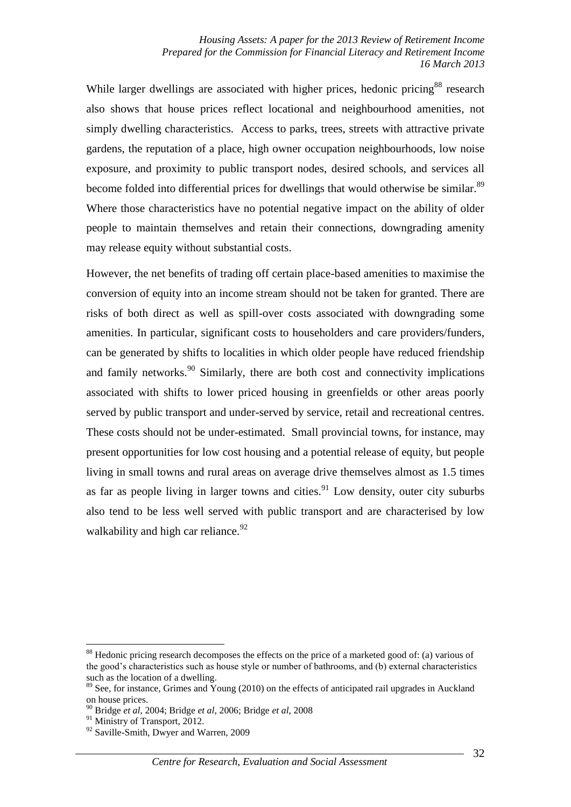While larger dwellings are associated with higher prices, hedonic pricing<sup>88</sup> research also shows that house prices reflect locational and neighbourhood amenities, not simply dwelling characteristics. Access to parks, trees, streets with attractive private gardens, the reputation of a place, high owner occupation neighbourhoods, low noise exposure, and proximity to public transport nodes, desired schools, and services all become folded into differential prices for dwellings that would otherwise be similar.<sup>89</sup> Where those characteristics have no potential negative impact on the ability of older people to maintain themselves and retain their connections, downgrading amenity may release equity without substantial costs.

However, the net benefits of trading off certain place-based amenities to maximise the conversion of equity into an income stream should not be taken for granted. There are risks of both direct as well as spill-over costs associated with downgrading some amenities. In particular, significant costs to householders and care providers/funders, can be generated by shifts to localities in which older people have reduced friendship and family networks.<sup>90</sup> Similarly, there are both cost and connectivity implications associated with shifts to lower priced housing in greenfields or other areas poorly served by public transport and under-served by service, retail and recreational centres. These costs should not be under-estimated. Small provincial towns, for instance, may present opportunities for low cost housing and a potential release of equity, but people living in small towns and rural areas on average drive themselves almost as 1.5 times as far as people living in larger towns and cities.<sup>91</sup> Low density, outer city suburbs also tend to be less well served with public transport and are characterised by low walkability and high car reliance.  $92$ 

<sup>&</sup>lt;sup>88</sup> Hedonic pricing research decomposes the effects on the price of a marketed good of: (a) various of the good's characteristics such as house style or number of bathrooms, and (b) external characteristics such as the location of a dwelling.

 $89$  See, for instance, Grimes and Young (2010) on the effects of anticipated rail upgrades in Auckland on house prices.

<sup>90</sup> Bridge *et al*, 2004; Bridge *et al*, 2006; Bridge *et al*, 2008

<sup>&</sup>lt;sup>91</sup> Ministry of Transport, 2012.

<sup>&</sup>lt;sup>92</sup> Saville-Smith, Dwyer and Warren, 2009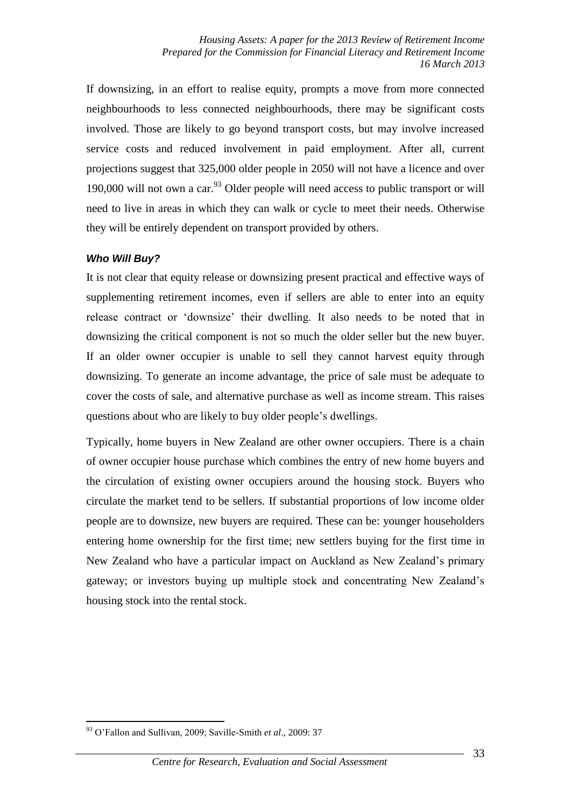If downsizing, in an effort to realise equity, prompts a move from more connected neighbourhoods to less connected neighbourhoods, there may be significant costs involved. Those are likely to go beyond transport costs, but may involve increased service costs and reduced involvement in paid employment. After all, current projections suggest that 325,000 older people in 2050 will not have a licence and over 190,000 will not own a car.<sup>93</sup> Older people will need access to public transport or will need to live in areas in which they can walk or cycle to meet their needs. Otherwise they will be entirely dependent on transport provided by others.

## *Who Will Buy?*

It is not clear that equity release or downsizing present practical and effective ways of supplementing retirement incomes, even if sellers are able to enter into an equity release contract or 'downsize' their dwelling. It also needs to be noted that in downsizing the critical component is not so much the older seller but the new buyer. If an older owner occupier is unable to sell they cannot harvest equity through downsizing. To generate an income advantage, the price of sale must be adequate to cover the costs of sale, and alternative purchase as well as income stream. This raises questions about who are likely to buy older people's dwellings.

Typically, home buyers in New Zealand are other owner occupiers. There is a chain of owner occupier house purchase which combines the entry of new home buyers and the circulation of existing owner occupiers around the housing stock. Buyers who circulate the market tend to be sellers. If substantial proportions of low income older people are to downsize, new buyers are required. These can be: younger householders entering home ownership for the first time; new settlers buying for the first time in New Zealand who have a particular impact on Auckland as New Zealand's primary gateway; or investors buying up multiple stock and concentrating New Zealand's housing stock into the rental stock.

<sup>1</sup> <sup>93</sup> O'Fallon and Sullivan, 2009; Saville-Smith *et al*., 2009: 37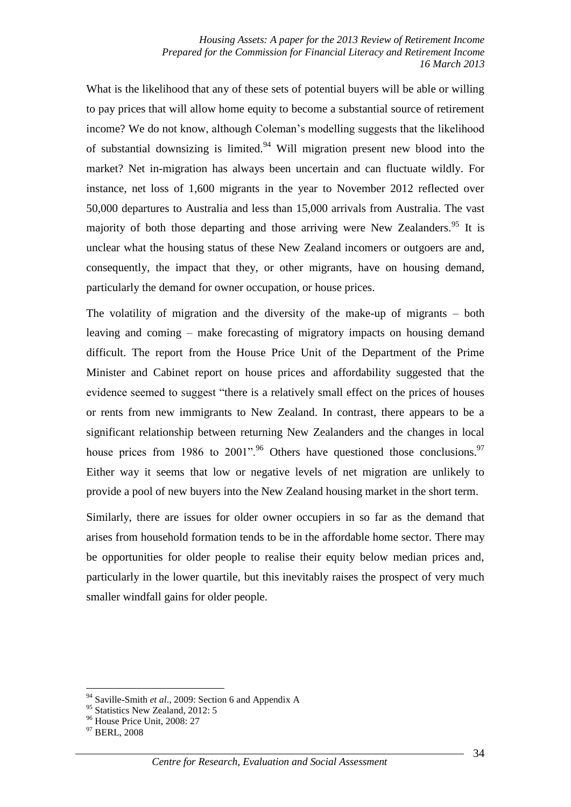What is the likelihood that any of these sets of potential buyers will be able or willing to pay prices that will allow home equity to become a substantial source of retirement income? We do not know, although Coleman's modelling suggests that the likelihood of substantial downsizing is limited.<sup>94</sup> Will migration present new blood into the market? Net in-migration has always been uncertain and can fluctuate wildly. For instance, net loss of 1,600 migrants in the year to November 2012 reflected over 50,000 departures to Australia and less than 15,000 arrivals from Australia. The vast majority of both those departing and those arriving were New Zealanders.<sup>95</sup> It is unclear what the housing status of these New Zealand incomers or outgoers are and, consequently, the impact that they, or other migrants, have on housing demand, particularly the demand for owner occupation, or house prices.

The volatility of migration and the diversity of the make-up of migrants – both leaving and coming – make forecasting of migratory impacts on housing demand difficult. The report from the House Price Unit of the Department of the Prime Minister and Cabinet report on house prices and affordability suggested that the evidence seemed to suggest "there is a relatively small effect on the prices of houses or rents from new immigrants to New Zealand. In contrast, there appears to be a significant relationship between returning New Zealanders and the changes in local house prices from 1986 to 2001".<sup>96</sup> Others have questioned those conclusions.<sup>97</sup> Either way it seems that low or negative levels of net migration are unlikely to provide a pool of new buyers into the New Zealand housing market in the short term.

Similarly, there are issues for older owner occupiers in so far as the demand that arises from household formation tends to be in the affordable home sector. There may be opportunities for older people to realise their equity below median prices and, particularly in the lower quartile, but this inevitably raises the prospect of very much smaller windfall gains for older people.

<sup>94</sup> Saville-Smith *et al*., 2009: Section 6 and Appendix A

<sup>&</sup>lt;sup>95</sup> Statistics New Zealand, 2012: 5

<sup>&</sup>lt;sup>96</sup> House Price Unit, 2008: 27

<sup>&</sup>lt;sup>97</sup> BERL, 2008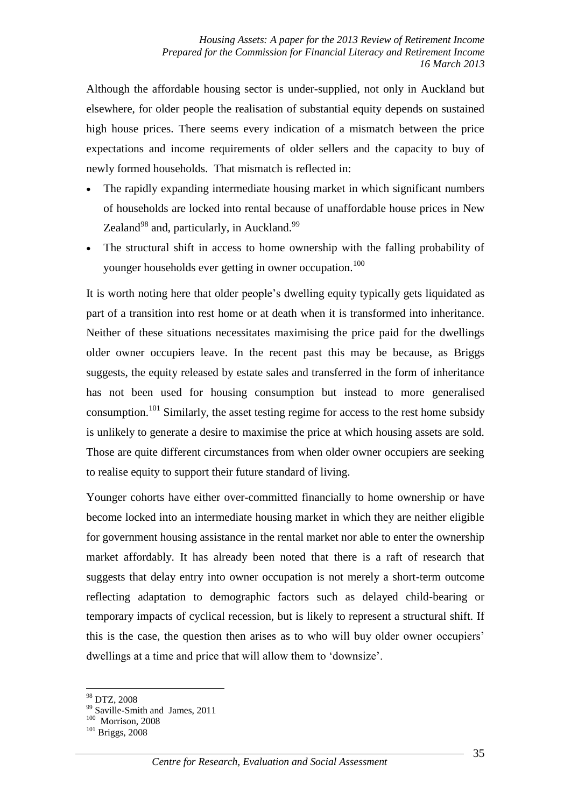Although the affordable housing sector is under-supplied, not only in Auckland but elsewhere, for older people the realisation of substantial equity depends on sustained high house prices. There seems every indication of a mismatch between the price expectations and income requirements of older sellers and the capacity to buy of newly formed households. That mismatch is reflected in:

- The rapidly expanding intermediate housing market in which significant numbers of households are locked into rental because of unaffordable house prices in New Zealand $98$  and, particularly, in Auckland. $99$
- The structural shift in access to home ownership with the falling probability of younger households ever getting in owner occupation.<sup>100</sup>

It is worth noting here that older people's dwelling equity typically gets liquidated as part of a transition into rest home or at death when it is transformed into inheritance. Neither of these situations necessitates maximising the price paid for the dwellings older owner occupiers leave. In the recent past this may be because, as Briggs suggests, the equity released by estate sales and transferred in the form of inheritance has not been used for housing consumption but instead to more generalised consumption.<sup>101</sup> Similarly, the asset testing regime for access to the rest home subsidy is unlikely to generate a desire to maximise the price at which housing assets are sold. Those are quite different circumstances from when older owner occupiers are seeking to realise equity to support their future standard of living.

Younger cohorts have either over-committed financially to home ownership or have become locked into an intermediate housing market in which they are neither eligible for government housing assistance in the rental market nor able to enter the ownership market affordably. It has already been noted that there is a raft of research that suggests that delay entry into owner occupation is not merely a short-term outcome reflecting adaptation to demographic factors such as delayed child-bearing or temporary impacts of cyclical recession, but is likely to represent a structural shift. If this is the case, the question then arises as to who will buy older owner occupiers' dwellings at a time and price that will allow them to 'downsize'.

<sup>98</sup> DTZ, 2008

<sup>&</sup>lt;sup>99</sup> Saville-Smith and James, 2011

 $100$  Morrison, 2008

<sup>101</sup> Briggs, 2008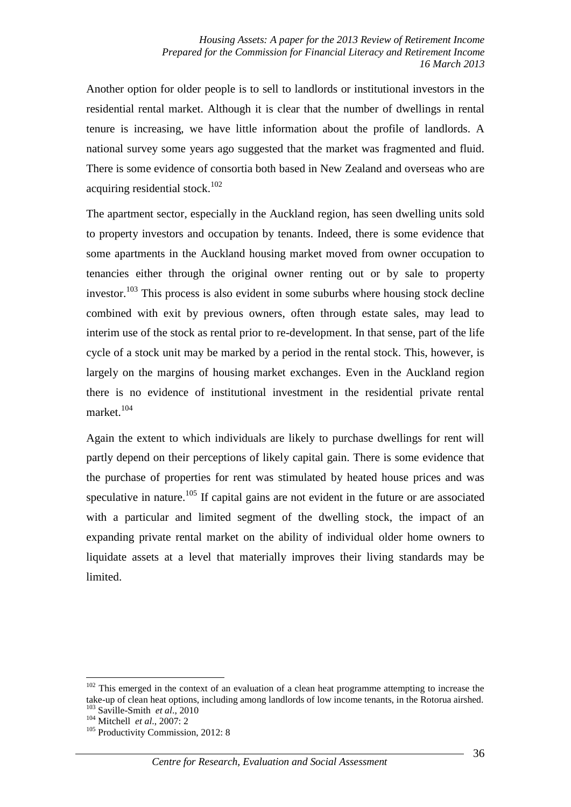Another option for older people is to sell to landlords or institutional investors in the residential rental market. Although it is clear that the number of dwellings in rental tenure is increasing, we have little information about the profile of landlords. A national survey some years ago suggested that the market was fragmented and fluid. There is some evidence of consortia both based in New Zealand and overseas who are acquiring residential stock.<sup>102</sup>

The apartment sector, especially in the Auckland region, has seen dwelling units sold to property investors and occupation by tenants. Indeed, there is some evidence that some apartments in the Auckland housing market moved from owner occupation to tenancies either through the original owner renting out or by sale to property investor.<sup>103</sup> This process is also evident in some suburbs where housing stock decline combined with exit by previous owners, often through estate sales, may lead to interim use of the stock as rental prior to re-development. In that sense, part of the life cycle of a stock unit may be marked by a period in the rental stock. This, however, is largely on the margins of housing market exchanges. Even in the Auckland region there is no evidence of institutional investment in the residential private rental market.<sup>104</sup>

Again the extent to which individuals are likely to purchase dwellings for rent will partly depend on their perceptions of likely capital gain. There is some evidence that the purchase of properties for rent was stimulated by heated house prices and was speculative in nature.<sup>105</sup> If capital gains are not evident in the future or are associated with a particular and limited segment of the dwelling stock, the impact of an expanding private rental market on the ability of individual older home owners to liquidate assets at a level that materially improves their living standards may be limited.

<sup>&</sup>lt;u>.</u>  $102$  This emerged in the context of an evaluation of a clean heat programme attempting to increase the take-up of clean heat options, including among landlords of low income tenants, in the Rotorua airshed. <sup>103</sup> Saville-Smith *et al*., 2010

<sup>104</sup> Mitchell *et al*., 2007: 2

<sup>&</sup>lt;sup>105</sup> Productivity Commission, 2012: 8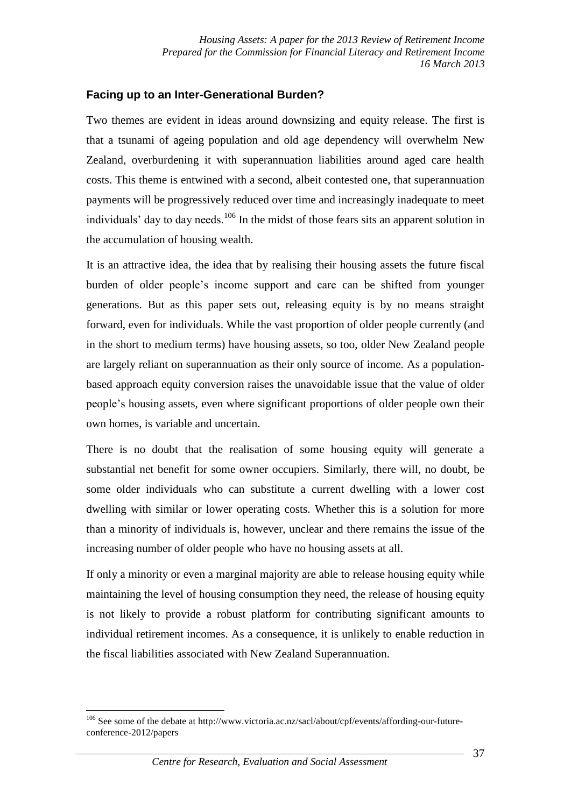## **Facing up to an Inter-Generational Burden?**

Two themes are evident in ideas around downsizing and equity release. The first is that a tsunami of ageing population and old age dependency will overwhelm New Zealand, overburdening it with superannuation liabilities around aged care health costs. This theme is entwined with a second, albeit contested one, that superannuation payments will be progressively reduced over time and increasingly inadequate to meet individuals' day to day needs.<sup>106</sup> In the midst of those fears sits an apparent solution in the accumulation of housing wealth.

It is an attractive idea, the idea that by realising their housing assets the future fiscal burden of older people's income support and care can be shifted from younger generations. But as this paper sets out, releasing equity is by no means straight forward, even for individuals. While the vast proportion of older people currently (and in the short to medium terms) have housing assets, so too, older New Zealand people are largely reliant on superannuation as their only source of income. As a populationbased approach equity conversion raises the unavoidable issue that the value of older people's housing assets, even where significant proportions of older people own their own homes, is variable and uncertain.

There is no doubt that the realisation of some housing equity will generate a substantial net benefit for some owner occupiers. Similarly, there will, no doubt, be some older individuals who can substitute a current dwelling with a lower cost dwelling with similar or lower operating costs. Whether this is a solution for more than a minority of individuals is, however, unclear and there remains the issue of the increasing number of older people who have no housing assets at all.

If only a minority or even a marginal majority are able to release housing equity while maintaining the level of housing consumption they need, the release of housing equity is not likely to provide a robust platform for contributing significant amounts to individual retirement incomes. As a consequence, it is unlikely to enable reduction in the fiscal liabilities associated with New Zealand Superannuation.

<sup>1</sup> <sup>106</sup> See some of the debate at http://www.victoria.ac.nz/sacl/about/cpf/events/affording-our-futureconference-2012/papers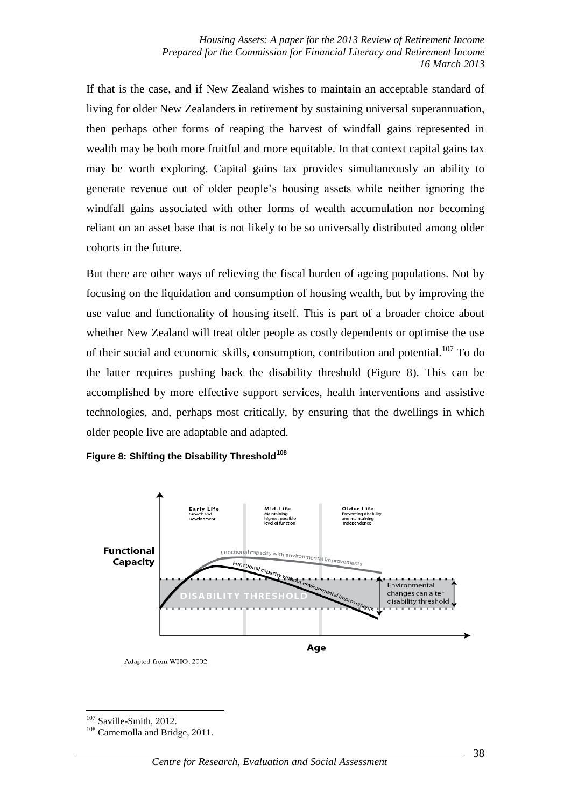If that is the case, and if New Zealand wishes to maintain an acceptable standard of living for older New Zealanders in retirement by sustaining universal superannuation, then perhaps other forms of reaping the harvest of windfall gains represented in wealth may be both more fruitful and more equitable. In that context capital gains tax may be worth exploring. Capital gains tax provides simultaneously an ability to generate revenue out of older people's housing assets while neither ignoring the windfall gains associated with other forms of wealth accumulation nor becoming reliant on an asset base that is not likely to be so universally distributed among older cohorts in the future.

But there are other ways of relieving the fiscal burden of ageing populations. Not by focusing on the liquidation and consumption of housing wealth, but by improving the use value and functionality of housing itself. This is part of a broader choice about whether New Zealand will treat older people as costly dependents or optimise the use of their social and economic skills, consumption, contribution and potential.<sup>107</sup> To do the latter requires pushing back the disability threshold (Figure 8). This can be accomplished by more effective support services, health interventions and assistive technologies, and, perhaps most critically, by ensuring that the dwellings in which older people live are adaptable and adapted.



**Figure 8: Shifting the Disability Threshold<sup>108</sup>**

Adapted from WHO, 2002

<sup>1</sup> <sup>107</sup> Saville-Smith, 2012.

<sup>108</sup> Camemolla and Bridge, 2011.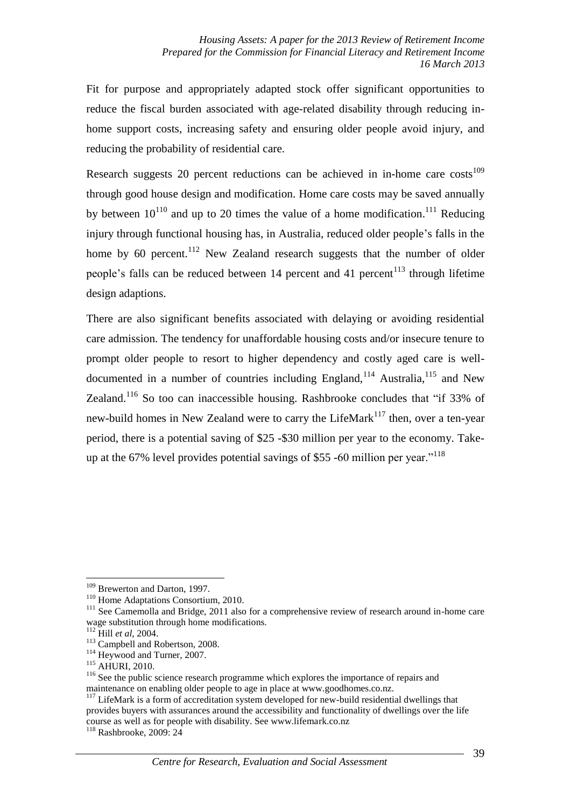Fit for purpose and appropriately adapted stock offer significant opportunities to reduce the fiscal burden associated with age-related disability through reducing inhome support costs, increasing safety and ensuring older people avoid injury, and reducing the probability of residential care.

Research suggests 20 percent reductions can be achieved in in-home care  $costs<sup>109</sup>$ through good house design and modification. Home care costs may be saved annually by between  $10^{110}$  and up to 20 times the value of a home modification.<sup>111</sup> Reducing injury through functional housing has, in Australia, reduced older people's falls in the home by 60 percent.<sup>112</sup> New Zealand research suggests that the number of older people's falls can be reduced between  $14$  percent and  $41$  percent<sup> $113$ </sup> through lifetime design adaptions.

There are also significant benefits associated with delaying or avoiding residential care admission. The tendency for unaffordable housing costs and/or insecure tenure to prompt older people to resort to higher dependency and costly aged care is welldocumented in a number of countries including England,<sup>114</sup> Australia,<sup>115</sup> and New Zealand.<sup>116</sup> So too can inaccessible housing. Rashbrooke concludes that "if 33% of new-build homes in New Zealand were to carry the LifeMark $117$  then, over a ten-year period, there is a potential saving of \$25 -\$30 million per year to the economy. Takeup at the  $67\%$  level provides potential savings of \$55 -60 million per year.<sup> $118$ </sup>

<sup>&</sup>lt;sup>109</sup> Brewerton and Darton, 1997.

<sup>&</sup>lt;sup>110</sup> Home Adaptations Consortium, 2010.

<sup>&</sup>lt;sup>111</sup> See Camemolla and Bridge, 2011 also for a comprehensive review of research around in-home care wage substitution through home modifications.

<sup>112</sup> Hill *et al*, 2004.

<sup>&</sup>lt;sup>113</sup> Campbell and Robertson, 2008.

<sup>&</sup>lt;sup>114</sup> Heywood and Turner, 2007.

<sup>115</sup> AHURI, 2010.

<sup>&</sup>lt;sup>116</sup> See the public science research programme which explores the importance of repairs and maintenance on enabling older people to age in place at www.goodhomes.co.nz.

<sup>&</sup>lt;sup>117</sup> LifeMark is a form of accreditation system developed for new-build residential dwellings that provides buyers with assurances around the accessibility and functionality of dwellings over the life course as well as for people with disability. See www.lifemark.co.nz

<sup>118</sup> Rashbrooke, 2009: 24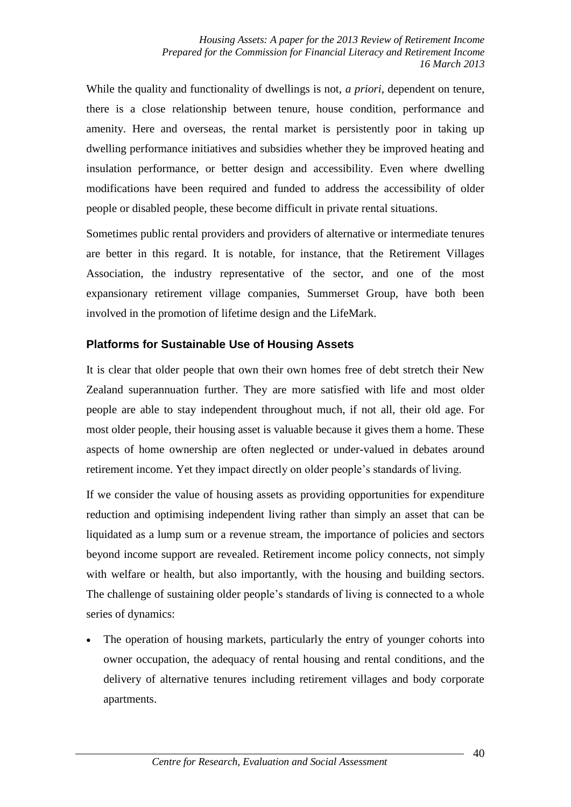While the quality and functionality of dwellings is not, *a priori*, dependent on tenure, there is a close relationship between tenure, house condition, performance and amenity. Here and overseas, the rental market is persistently poor in taking up dwelling performance initiatives and subsidies whether they be improved heating and insulation performance, or better design and accessibility. Even where dwelling modifications have been required and funded to address the accessibility of older people or disabled people, these become difficult in private rental situations.

Sometimes public rental providers and providers of alternative or intermediate tenures are better in this regard. It is notable, for instance, that the Retirement Villages Association, the industry representative of the sector, and one of the most expansionary retirement village companies, Summerset Group, have both been involved in the promotion of lifetime design and the LifeMark.

# **Platforms for Sustainable Use of Housing Assets**

It is clear that older people that own their own homes free of debt stretch their New Zealand superannuation further. They are more satisfied with life and most older people are able to stay independent throughout much, if not all, their old age. For most older people, their housing asset is valuable because it gives them a home. These aspects of home ownership are often neglected or under-valued in debates around retirement income. Yet they impact directly on older people's standards of living.

If we consider the value of housing assets as providing opportunities for expenditure reduction and optimising independent living rather than simply an asset that can be liquidated as a lump sum or a revenue stream, the importance of policies and sectors beyond income support are revealed. Retirement income policy connects, not simply with welfare or health, but also importantly, with the housing and building sectors. The challenge of sustaining older people's standards of living is connected to a whole series of dynamics:

 The operation of housing markets, particularly the entry of younger cohorts into owner occupation, the adequacy of rental housing and rental conditions, and the delivery of alternative tenures including retirement villages and body corporate apartments.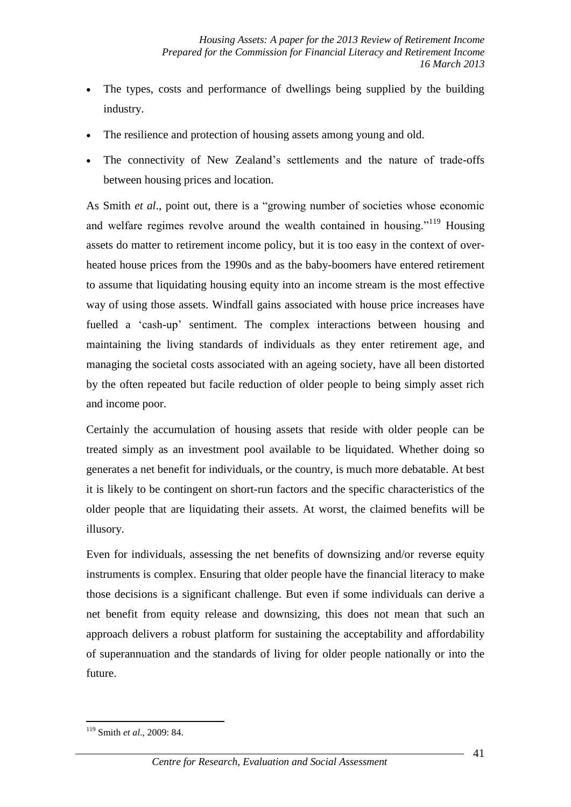- The types, costs and performance of dwellings being supplied by the building industry.
- The resilience and protection of housing assets among young and old.
- The connectivity of New Zealand's settlements and the nature of trade-offs between housing prices and location.

As Smith *et al*., point out, there is a "growing number of societies whose economic and welfare regimes revolve around the wealth contained in housing."<sup>119</sup> Housing assets do matter to retirement income policy, but it is too easy in the context of overheated house prices from the 1990s and as the baby-boomers have entered retirement to assume that liquidating housing equity into an income stream is the most effective way of using those assets. Windfall gains associated with house price increases have fuelled a 'cash-up' sentiment. The complex interactions between housing and maintaining the living standards of individuals as they enter retirement age, and managing the societal costs associated with an ageing society, have all been distorted by the often repeated but facile reduction of older people to being simply asset rich and income poor.

Certainly the accumulation of housing assets that reside with older people can be treated simply as an investment pool available to be liquidated. Whether doing so generates a net benefit for individuals, or the country, is much more debatable. At best it is likely to be contingent on short-run factors and the specific characteristics of the older people that are liquidating their assets. At worst, the claimed benefits will be illusory.

Even for individuals, assessing the net benefits of downsizing and/or reverse equity instruments is complex. Ensuring that older people have the financial literacy to make those decisions is a significant challenge. But even if some individuals can derive a net benefit from equity release and downsizing, this does not mean that such an approach delivers a robust platform for sustaining the acceptability and affordability of superannuation and the standards of living for older people nationally or into the future.

<sup>1</sup> <sup>119</sup> Smith *et al*., 2009: 84.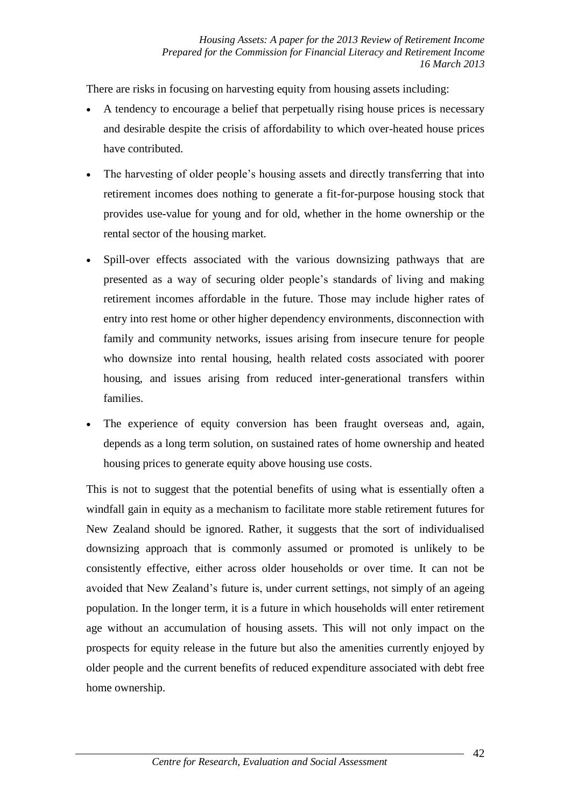There are risks in focusing on harvesting equity from housing assets including:

- A tendency to encourage a belief that perpetually rising house prices is necessary and desirable despite the crisis of affordability to which over-heated house prices have contributed.
- The harvesting of older people's housing assets and directly transferring that into retirement incomes does nothing to generate a fit-for-purpose housing stock that provides use-value for young and for old, whether in the home ownership or the rental sector of the housing market.
- Spill-over effects associated with the various downsizing pathways that are presented as a way of securing older people's standards of living and making retirement incomes affordable in the future. Those may include higher rates of entry into rest home or other higher dependency environments, disconnection with family and community networks, issues arising from insecure tenure for people who downsize into rental housing, health related costs associated with poorer housing, and issues arising from reduced inter-generational transfers within families.
- The experience of equity conversion has been fraught overseas and, again, depends as a long term solution, on sustained rates of home ownership and heated housing prices to generate equity above housing use costs.

This is not to suggest that the potential benefits of using what is essentially often a windfall gain in equity as a mechanism to facilitate more stable retirement futures for New Zealand should be ignored. Rather, it suggests that the sort of individualised downsizing approach that is commonly assumed or promoted is unlikely to be consistently effective, either across older households or over time. It can not be avoided that New Zealand's future is, under current settings, not simply of an ageing population. In the longer term, it is a future in which households will enter retirement age without an accumulation of housing assets. This will not only impact on the prospects for equity release in the future but also the amenities currently enjoyed by older people and the current benefits of reduced expenditure associated with debt free home ownership.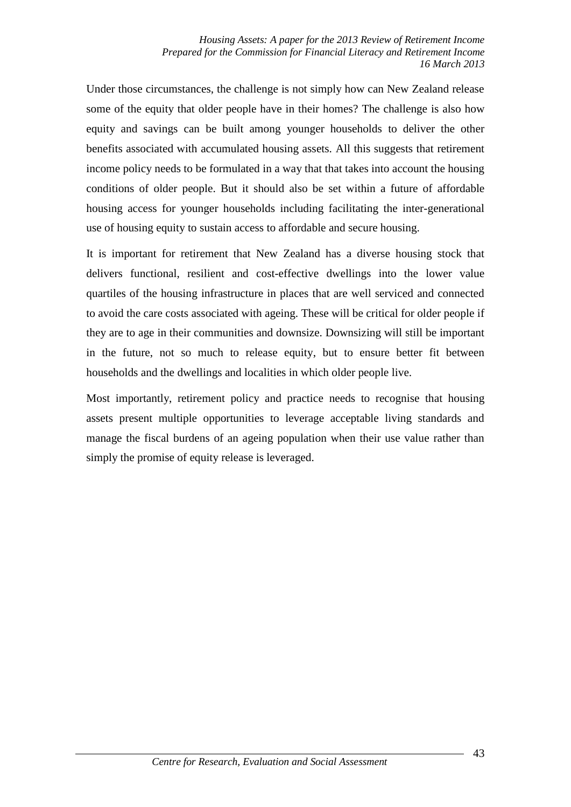Under those circumstances, the challenge is not simply how can New Zealand release some of the equity that older people have in their homes? The challenge is also how equity and savings can be built among younger households to deliver the other benefits associated with accumulated housing assets. All this suggests that retirement income policy needs to be formulated in a way that that takes into account the housing conditions of older people. But it should also be set within a future of affordable housing access for younger households including facilitating the inter-generational use of housing equity to sustain access to affordable and secure housing.

It is important for retirement that New Zealand has a diverse housing stock that delivers functional, resilient and cost-effective dwellings into the lower value quartiles of the housing infrastructure in places that are well serviced and connected to avoid the care costs associated with ageing. These will be critical for older people if they are to age in their communities and downsize. Downsizing will still be important in the future, not so much to release equity, but to ensure better fit between households and the dwellings and localities in which older people live.

Most importantly, retirement policy and practice needs to recognise that housing assets present multiple opportunities to leverage acceptable living standards and manage the fiscal burdens of an ageing population when their use value rather than simply the promise of equity release is leveraged.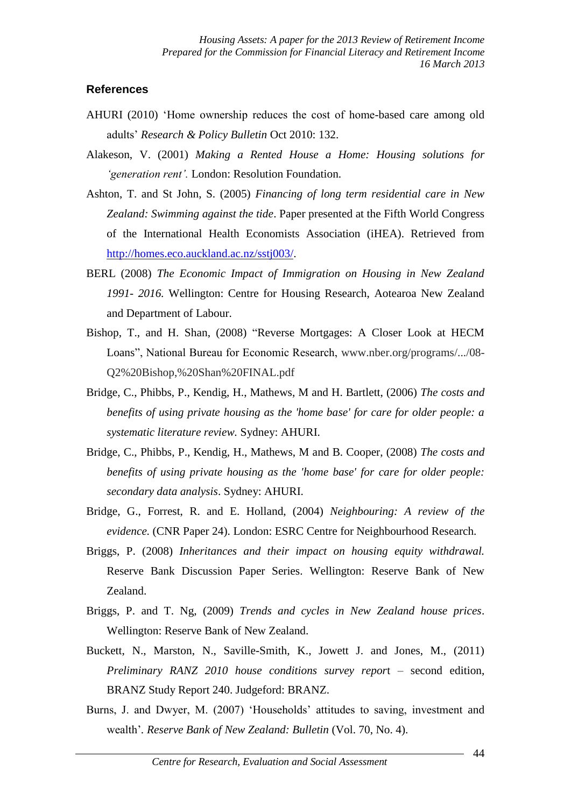#### **References**

- AHURI (2010) 'Home ownership reduces the cost of home-based care among old adults' *Research & Policy Bulletin* Oct 2010: 132.
- Alakeson, V. (2001) *Making a Rented House a Home: Housing solutions for 'generation rent'.* London: Resolution Foundation.
- Ashton, T. and St John, S. (2005) *Financing of long term residential care in New Zealand: Swimming against the tide*. Paper presented at the Fifth World Congress of the International Health Economists Association (iHEA). Retrieved from [http://homes.eco.auckland.ac.nz/sstj003/.](http://homes.eco.auckland.ac.nz/sstj003/)
- BERL (2008) *The Economic Impact of Immigration on Housing in New Zealand 1991- 2016.* Wellington: Centre for Housing Research, Aotearoa New Zealand and Department of Labour.
- Bishop, T., and H. Shan, (2008) "Reverse Mortgages: A Closer Look at HECM Loans", National Bureau for Economic Research, www.nber.org/programs/.../08- Q2%20Bishop,%20Shan%20FINAL.pdf
- Bridge, C., Phibbs, P., Kendig, H., Mathews, M and H. Bartlett, (2006) *The costs and benefits of using private housing as the 'home base' for care for older people: a systematic literature review.* Sydney: AHURI.
- Bridge, C., Phibbs, P., Kendig, H., Mathews, M and B. Cooper, (2008) *The costs and benefits of using private housing as the 'home base' for care for older people: secondary data analysis*. Sydney: AHURI.
- Bridge, G., Forrest, R. and E. Holland, (2004) *Neighbouring: A review of the evidence.* (CNR Paper 24). London: ESRC Centre for Neighbourhood Research.
- Briggs, P. (2008) *Inheritances and their impact on housing equity withdrawal.*  Reserve Bank Discussion Paper Series. Wellington: Reserve Bank of New Zealand.
- Briggs, P. and T. Ng, (2009) *Trends and cycles in New Zealand house prices*. Wellington: Reserve Bank of New Zealand.
- Buckett, N., Marston, N., Saville-Smith, K., Jowett J. and Jones, M., (2011) *Preliminary RANZ 2010 house conditions survey repor*t – second edition, BRANZ Study Report 240. Judgeford: BRANZ.
- Burns, J. and Dwyer, M. (2007) 'Households' attitudes to saving, investment and wealth'*. Reserve Bank of New Zealand: Bulletin* (Vol. 70, No. 4).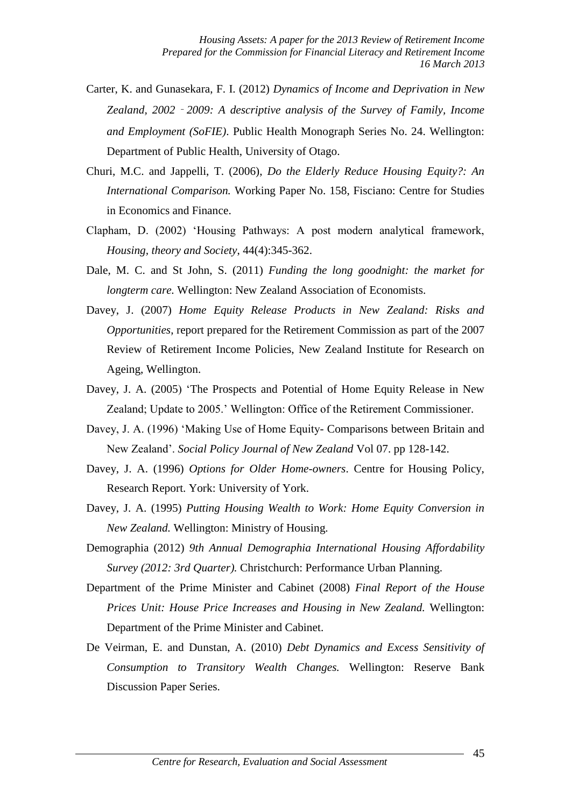- Carter, K. and Gunasekara, F. I. (2012) *Dynamics of Income and Deprivation in New Zealand, 2002*‐*2009: A descriptive analysis of the Survey of Family, Income and Employment (SoFIE)*. Public Health Monograph Series No. 24. Wellington: Department of Public Health, University of Otago.
- Churi, M.C. and Jappelli, T. (2006), *Do the Elderly Reduce Housing Equity?: An International Comparison.* Working Paper No. 158, Fisciano: Centre for Studies in Economics and Finance.
- Clapham, D. (2002) 'Housing Pathways: A post modern analytical framework, *Housing, theory and Society*, 44(4):345-362.
- Dale, M. C. and St John, S. (2011) *Funding the long goodnight: the market for longterm care.* Wellington: New Zealand Association of Economists.
- Davey, J. (2007) *Home Equity Release Products in New Zealand: Risks and Opportunities*, report prepared for the Retirement Commission as part of the 2007 Review of Retirement Income Policies, New Zealand Institute for Research on Ageing, Wellington.
- Davey, J. A. (2005) 'The Prospects and Potential of Home Equity Release in New Zealand; Update to 2005.' Wellington: Office of the Retirement Commissioner.
- Davey, J. A. (1996) 'Making Use of Home Equity- Comparisons between Britain and New Zealand'. *Social Policy Journal of New Zealand* Vol 07. pp 128-142.
- Davey, J. A. (1996) *Options for Older Home-owners*. Centre for Housing Policy, Research Report. York: University of York.
- Davey, J. A. (1995) *Putting Housing Wealth to Work: Home Equity Conversion in New Zealand.* Wellington: Ministry of Housing.
- Demographia (2012) *9th Annual Demographia International Housing Affordability Survey (2012: 3rd Quarter).* Christchurch: Performance Urban Planning.
- Department of the Prime Minister and Cabinet (2008) *Final Report of the House Prices Unit: House Price Increases and Housing in New Zealand.* Wellington: Department of the Prime Minister and Cabinet.
- De Veirman, E. and Dunstan, A. (2010) *Debt Dynamics and Excess Sensitivity of Consumption to Transitory Wealth Changes.* Wellington: Reserve Bank Discussion Paper Series.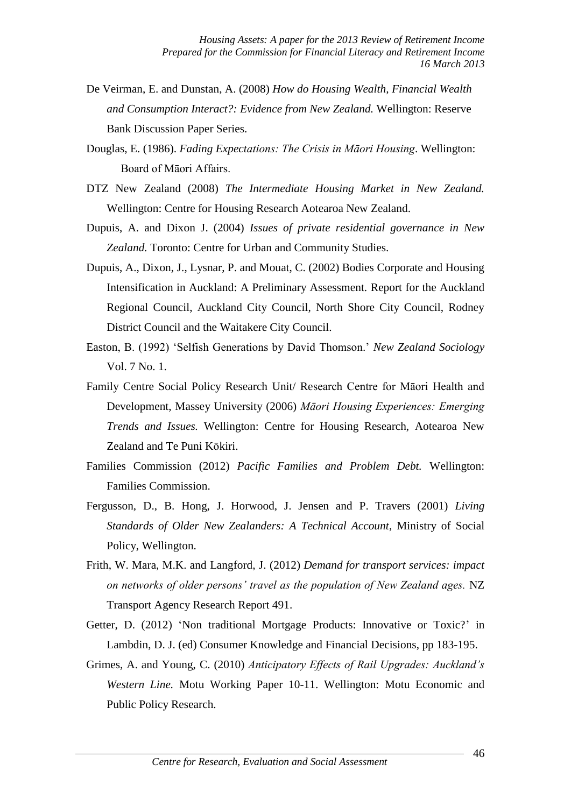- De Veirman, E. and Dunstan, A. (2008) *How do Housing Wealth, Financial Wealth and Consumption Interact?: Evidence from New Zealand.* Wellington: Reserve Bank Discussion Paper Series.
- Douglas, E. (1986). *Fading Expectations: The Crisis in Māori Housing*. Wellington: Board of Māori Affairs.
- DTZ New Zealand (2008) *The Intermediate Housing Market in New Zealand.*  Wellington: Centre for Housing Research Aotearoa New Zealand.
- Dupuis, A. and Dixon J. (2004) *Issues of private residential governance in New Zealand.* Toronto: Centre for Urban and Community Studies.
- Dupuis, A., Dixon, J., Lysnar, P. and Mouat, C. (2002) Bodies Corporate and Housing Intensification in Auckland: A Preliminary Assessment. Report for the Auckland Regional Council, Auckland City Council, North Shore City Council, Rodney District Council and the Waitakere City Council.
- Easton, B. (1992) 'Selfish Generations by David Thomson.' *New Zealand Sociology* Vol. 7 No. 1.
- Family Centre Social Policy Research Unit/ Research Centre for Māori Health and Development, Massey University (2006) *Māori Housing Experiences: Emerging Trends and Issues.* Wellington: Centre for Housing Research, Aotearoa New Zealand and Te Puni Kōkiri.
- Families Commission (2012) *Pacific Families and Problem Debt.* Wellington: Families Commission.
- Fergusson, D., B. Hong, J. Horwood, J. Jensen and P. Travers (2001) *Living Standards of Older New Zealanders: A Technical Account*, Ministry of Social Policy, Wellington.
- Frith, W. Mara, M.K. and Langford, J. (2012) *Demand for transport services: impact on networks of older persons' travel as the population of New Zealand ages.* NZ Transport Agency Research Report 491.
- Getter, D. (2012) 'Non traditional Mortgage Products: Innovative or Toxic?' in Lambdin, D. J. (ed) Consumer Knowledge and Financial Decisions, pp 183-195.
- Grimes, A. and Young, C. (2010) *Anticipatory Effects of Rail Upgrades: Auckland's Western Line.* Motu Working Paper 10-11. Wellington: Motu Economic and Public Policy Research.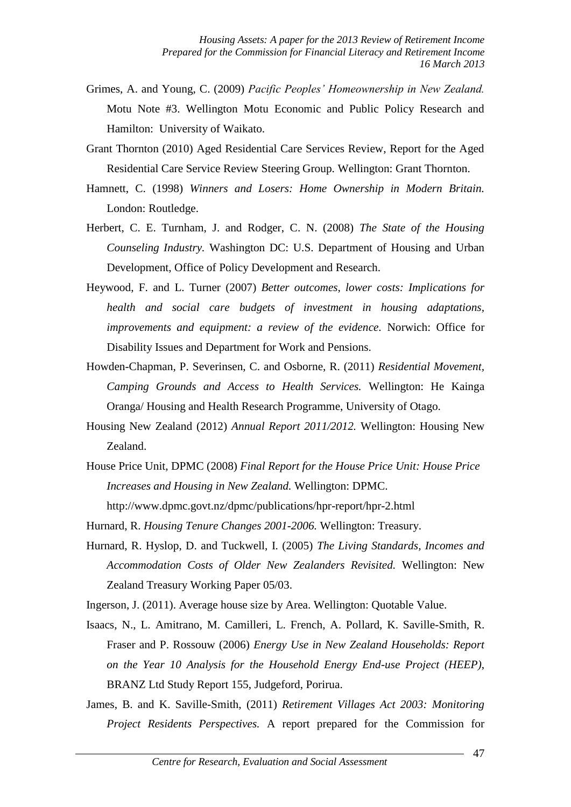- Grimes, A. and Young, C. (2009) *Pacific Peoples' Homeownership in New Zealand.*  Motu Note #3. Wellington Motu Economic and Public Policy Research and Hamilton: University of Waikato.
- Grant Thornton (2010) Aged Residential Care Services Review, Report for the Aged Residential Care Service Review Steering Group. Wellington: Grant Thornton.
- Hamnett, C. (1998) *Winners and Losers: Home Ownership in Modern Britain.*  London: Routledge.
- Herbert, C. E. Turnham, J. and Rodger, C. N. (2008) *The State of the Housing Counseling Industry.* Washington DC: U.S. Department of Housing and Urban Development, Office of Policy Development and Research.
- Heywood, F. and L. Turner (2007) *Better outcomes, lower costs: Implications for health and social care budgets of investment in housing adaptations, improvements and equipment: a review of the evidence.* Norwich: Office for Disability Issues and Department for Work and Pensions.
- Howden-Chapman, P. Severinsen, C. and Osborne, R. (2011) *Residential Movement, Camping Grounds and Access to Health Services.* Wellington: He Kainga Oranga/ Housing and Health Research Programme, University of Otago.
- Housing New Zealand (2012) *Annual Report 2011/2012.* Wellington: Housing New Zealand.
- House Price Unit, DPMC (2008) *Final Report for the House Price Unit: House Price Increases and Housing in New Zealand.* Wellington: DPMC. http://www.dpmc.govt.nz/dpmc/publications/hpr-report/hpr-2.html

- Hurnard, R. Hyslop, D. and Tuckwell, I. (2005) *The Living Standards, Incomes and Accommodation Costs of Older New Zealanders Revisited.* Wellington: New Zealand Treasury Working Paper 05/03.
- Ingerson, J. (2011). Average house size by Area. Wellington: Quotable Value.
- Isaacs, N., L. Amitrano, M. Camilleri, L. French, A. Pollard, K. Saville-Smith, R. Fraser and P. Rossouw (2006) *Energy Use in New Zealand Households: Report on the Year 10 Analysis for the Household Energy End-use Project (HEEP)*, BRANZ Ltd Study Report 155, Judgeford, Porirua.
- James, B. and K. Saville-Smith, (2011) *Retirement Villages Act 2003: Monitoring Project Residents Perspectives.* A report prepared for the Commission for

Hurnard, R. *Housing Tenure Changes 2001-2006.* Wellington: Treasury.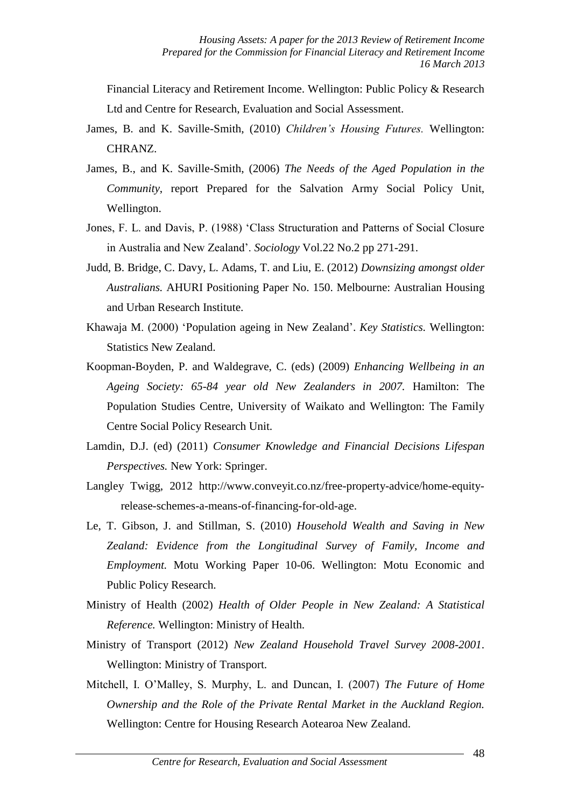Financial Literacy and Retirement Income. Wellington: Public Policy & Research Ltd and Centre for Research, Evaluation and Social Assessment.

- James, B. and K. Saville-Smith, (2010) *Children's Housing Futures.* Wellington: CHRANZ.
- James, B., and K. Saville-Smith, (2006) *The Needs of the Aged Population in the Community*, report Prepared for the Salvation Army Social Policy Unit, Wellington.
- Jones, F. L. and Davis, P. (1988) 'Class Structuration and Patterns of Social Closure in Australia and New Zealand'. *Sociology* Vol.22 No.2 pp 271-291.
- Judd, B. Bridge, C. Davy, L. Adams, T. and Liu, E. (2012) *Downsizing amongst older Australians.* AHURI Positioning Paper No. 150. Melbourne: Australian Housing and Urban Research Institute.
- Khawaja M. (2000) 'Population ageing in New Zealand'. *Key Statistics.* Wellington: Statistics New Zealand.
- Koopman-Boyden, P. and Waldegrave, C. (eds) (2009) *Enhancing Wellbeing in an Ageing Society: 65-84 year old New Zealanders in 2007.* Hamilton: The Population Studies Centre, University of Waikato and Wellington: The Family Centre Social Policy Research Unit.
- Lamdin, D.J. (ed) (2011) *Consumer Knowledge and Financial Decisions Lifespan Perspectives.* New York: Springer.
- Langley Twigg, 2012 http://www.conveyit.co.nz/free-property-advice/home-equityrelease-schemes-a-means-of-financing-for-old-age.
- Le, T. Gibson, J. and Stillman, S. (2010) *Household Wealth and Saving in New Zealand: Evidence from the Longitudinal Survey of Family, Income and Employment.* Motu Working Paper 10-06. Wellington: Motu Economic and Public Policy Research.
- Ministry of Health (2002) *Health of Older People in New Zealand: A Statistical Reference.* Wellington: Ministry of Health.
- Ministry of Transport (2012) *New Zealand Household Travel Survey 2008-2001*. Wellington: Ministry of Transport.
- Mitchell, I. O'Malley, S. Murphy, L. and Duncan, I. (2007) *The Future of Home Ownership and the Role of the Private Rental Market in the Auckland Region.*  Wellington: Centre for Housing Research Aotearoa New Zealand.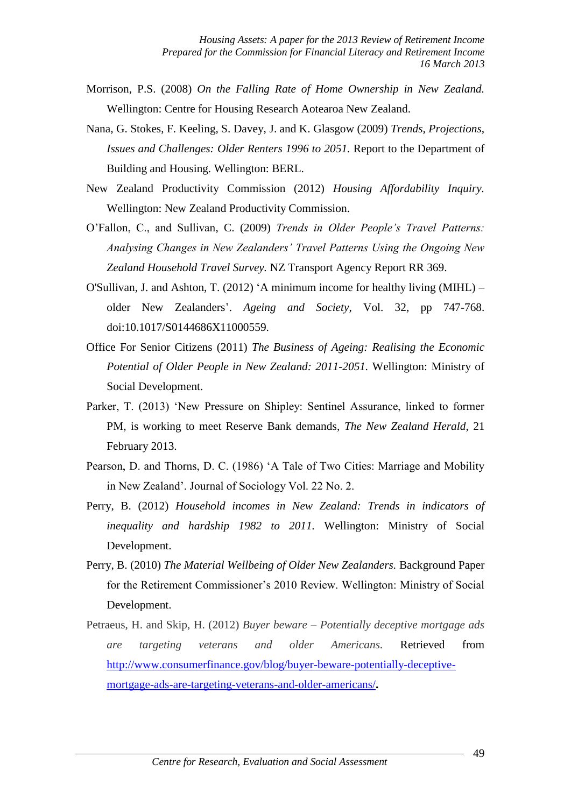- Morrison, P.S. (2008) *On the Falling Rate of Home Ownership in New Zealand.*  Wellington: Centre for Housing Research Aotearoa New Zealand.
- Nana, G. Stokes, F. Keeling, S. Davey, J. and K. Glasgow (2009) *Trends, Projections, Issues and Challenges: Older Renters 1996 to 2051.* Report to the Department of Building and Housing. Wellington: BERL.
- New Zealand Productivity Commission (2012) *Housing Affordability Inquiry.*  Wellington: New Zealand Productivity Commission.
- O'Fallon, C., and Sullivan, C. (2009) *Trends in Older People's Travel Patterns: Analysing Changes in New Zealanders' Travel Patterns Using the Ongoing New Zealand Household Travel Survey.* NZ Transport Agency Report RR 369.
- O'Sullivan, J. and Ashton, T. (2012) 'A minimum income for healthy living (MIHL) older New Zealanders'. *Ageing and Society*, Vol. 32, pp 747-768. doi:10.1017/S0144686X11000559.
- Office For Senior Citizens (2011) *The Business of Ageing: Realising the Economic Potential of Older People in New Zealand: 2011-2051.* Wellington: Ministry of Social Development.
- Parker, T. (2013) 'New Pressure on Shipley: Sentinel Assurance, linked to former PM, is working to meet Reserve Bank demands, *The New Zealand Herald*, 21 February 2013.
- Pearson, D. and Thorns, D. C. (1986) 'A Tale of Two Cities: Marriage and Mobility in New Zealand'. Journal of Sociology Vol. 22 No. 2.
- Perry, B. (2012) *Household incomes in New Zealand: Trends in indicators of inequality and hardship 1982 to 2011.* Wellington: Ministry of Social Development.
- Perry, B. (2010) *The Material Wellbeing of Older New Zealanders.* Background Paper for the Retirement Commissioner's 2010 Review. Wellington: Ministry of Social Development.
- Petraeus, H. and Skip, H. (2012) *Buyer beware – Potentially deceptive mortgage ads are targeting veterans and older Americans.* Retrieved from [http://www.consumerfinance.gov/blog/buyer-beware-potentially-deceptive](http://www.consumerfinance.gov/blog/buyer-beware-potentially-deceptive-mortgage-ads-are-targeting-veterans-and-older-americans/)[mortgage-ads-are-targeting-veterans-and-older-americans/](http://www.consumerfinance.gov/blog/buyer-beware-potentially-deceptive-mortgage-ads-are-targeting-veterans-and-older-americans/)**.**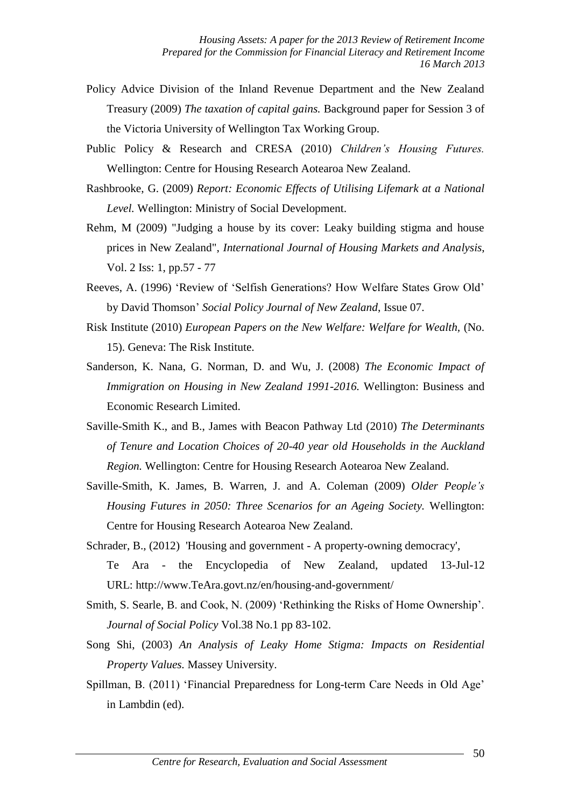- Policy Advice Division of the Inland Revenue Department and the New Zealand Treasury (2009) *The taxation of capital gains.* Background paper for Session 3 of the Victoria University of Wellington Tax Working Group.
- Public Policy & Research and CRESA (2010) *Children's Housing Futures.*  Wellington: Centre for Housing Research Aotearoa New Zealand.
- Rashbrooke, G. (2009) *Report: Economic Effects of Utilising Lifemark at a National Level.* Wellington: Ministry of Social Development.
- Rehm, M (2009) "Judging a house by its cover: Leaky building stigma and house prices in New Zealand", *International Journal of Housing Markets and Analysis*, Vol. 2 Iss: 1, pp.57 - 77
- Reeves, A. (1996) 'Review of 'Selfish Generations? How Welfare States Grow Old' by David Thomson' *Social Policy Journal of New Zealand*, Issue 07.
- Risk Institute (2010) *European Papers on the New Welfare: Welfare for Wealth,* (No. 15). Geneva: The Risk Institute.
- Sanderson, K. Nana, G. Norman, D. and Wu, J. (2008) *The Economic Impact of Immigration on Housing in New Zealand 1991-2016.* Wellington: Business and Economic Research Limited.
- Saville-Smith K., and B., James with Beacon Pathway Ltd (2010) *The Determinants of Tenure and Location Choices of 20-40 year old Households in the Auckland Region.* Wellington: Centre for Housing Research Aotearoa New Zealand.
- Saville-Smith, K. James, B. Warren, J. and A. Coleman (2009) *Older People's Housing Futures in 2050: Three Scenarios for an Ageing Society.* Wellington: Centre for Housing Research Aotearoa New Zealand.
- Schrader, B., (2012) 'Housing and government A property-owning democracy', Te Ara - the Encyclopedia of New Zealand, updated 13-Jul-12 URL: http://www.TeAra.govt.nz/en/housing-and-government/
- Smith, S. Searle, B. and Cook, N. (2009) 'Rethinking the Risks of Home Ownership'. *Journal of Social Policy* Vol.38 No.1 pp 83-102.
- Song Shi, (2003) *An Analysis of Leaky Home Stigma: Impacts on Residential Property Values.* Massey University.
- Spillman, B. (2011) 'Financial Preparedness for Long-term Care Needs in Old Age' in Lambdin (ed).